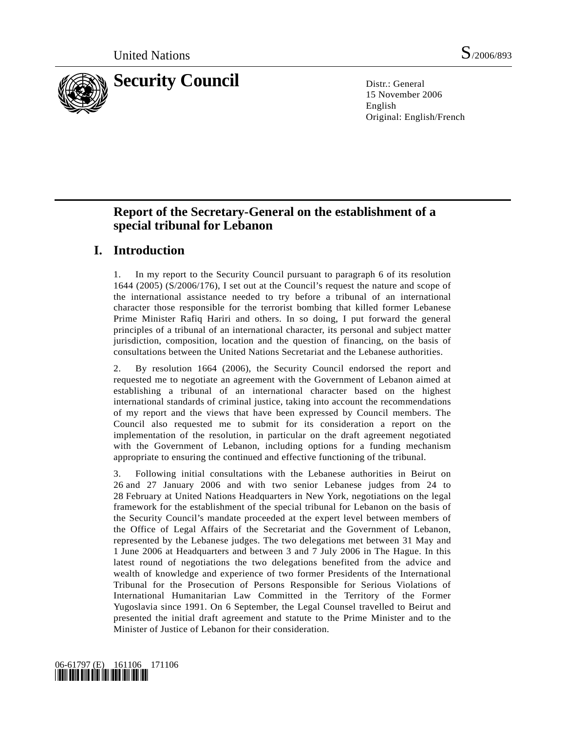

15 November 2006 English Original: English/French

## **Report of the Secretary-General on the establishment of a special tribunal for Lebanon**

## **I. Introduction**

1. In my report to the Security Council pursuant to paragraph 6 of its resolution 1644 (2005) (S/2006/176), I set out at the Council's request the nature and scope of the international assistance needed to try before a tribunal of an international character those responsible for the terrorist bombing that killed former Lebanese Prime Minister Rafiq Hariri and others. In so doing, I put forward the general principles of a tribunal of an international character, its personal and subject matter jurisdiction, composition, location and the question of financing, on the basis of consultations between the United Nations Secretariat and the Lebanese authorities.

2. By resolution 1664 (2006), the Security Council endorsed the report and requested me to negotiate an agreement with the Government of Lebanon aimed at establishing a tribunal of an international character based on the highest international standards of criminal justice, taking into account the recommendations of my report and the views that have been expressed by Council members. The Council also requested me to submit for its consideration a report on the implementation of the resolution, in particular on the draft agreement negotiated with the Government of Lebanon, including options for a funding mechanism appropriate to ensuring the continued and effective functioning of the tribunal.

3. Following initial consultations with the Lebanese authorities in Beirut on 26 and 27 January 2006 and with two senior Lebanese judges from 24 to 28 February at United Nations Headquarters in New York, negotiations on the legal framework for the establishment of the special tribunal for Lebanon on the basis of the Security Council's mandate proceeded at the expert level between members of the Office of Legal Affairs of the Secretariat and the Government of Lebanon, represented by the Lebanese judges. The two delegations met between 31 May and 1 June 2006 at Headquarters and between 3 and 7 July 2006 in The Hague. In this latest round of negotiations the two delegations benefited from the advice and wealth of knowledge and experience of two former Presidents of the International Tribunal for the Prosecution of Persons Responsible for Serious Violations of International Humanitarian Law Committed in the Territory of the Former Yugoslavia since 1991. On 6 September, the Legal Counsel travelled to Beirut and presented the initial draft agreement and statute to the Prime Minister and to the Minister of Justice of Lebanon for their consideration.

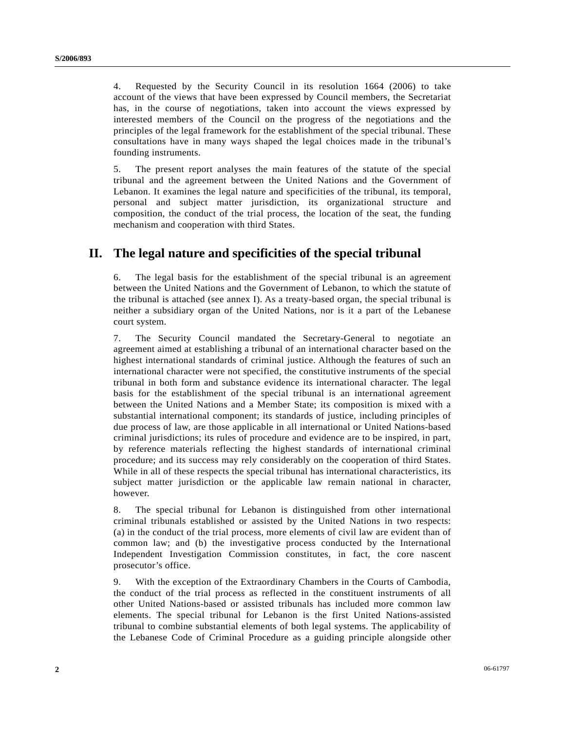4. Requested by the Security Council in its resolution 1664 (2006) to take account of the views that have been expressed by Council members, the Secretariat has, in the course of negotiations, taken into account the views expressed by interested members of the Council on the progress of the negotiations and the principles of the legal framework for the establishment of the special tribunal. These consultations have in many ways shaped the legal choices made in the tribunal's founding instruments.

5. The present report analyses the main features of the statute of the special tribunal and the agreement between the United Nations and the Government of Lebanon. It examines the legal nature and specificities of the tribunal, its temporal, personal and subject matter jurisdiction, its organizational structure and composition, the conduct of the trial process, the location of the seat, the funding mechanism and cooperation with third States.

## **II. The legal nature and specificities of the special tribunal**

6. The legal basis for the establishment of the special tribunal is an agreement between the United Nations and the Government of Lebanon, to which the statute of the tribunal is attached (see annex I). As a treaty-based organ, the special tribunal is neither a subsidiary organ of the United Nations, nor is it a part of the Lebanese court system.

7. The Security Council mandated the Secretary-General to negotiate an agreement aimed at establishing a tribunal of an international character based on the highest international standards of criminal justice. Although the features of such an international character were not specified, the constitutive instruments of the special tribunal in both form and substance evidence its international character. The legal basis for the establishment of the special tribunal is an international agreement between the United Nations and a Member State; its composition is mixed with a substantial international component; its standards of justice, including principles of due process of law, are those applicable in all international or United Nations-based criminal jurisdictions; its rules of procedure and evidence are to be inspired, in part, by reference materials reflecting the highest standards of international criminal procedure; and its success may rely considerably on the cooperation of third States. While in all of these respects the special tribunal has international characteristics, its subject matter jurisdiction or the applicable law remain national in character, however.

8. The special tribunal for Lebanon is distinguished from other international criminal tribunals established or assisted by the United Nations in two respects: (a) in the conduct of the trial process, more elements of civil law are evident than of common law; and (b) the investigative process conducted by the International Independent Investigation Commission constitutes, in fact, the core nascent prosecutor's office.

9. With the exception of the Extraordinary Chambers in the Courts of Cambodia, the conduct of the trial process as reflected in the constituent instruments of all other United Nations-based or assisted tribunals has included more common law elements. The special tribunal for Lebanon is the first United Nations-assisted tribunal to combine substantial elements of both legal systems. The applicability of the Lebanese Code of Criminal Procedure as a guiding principle alongside other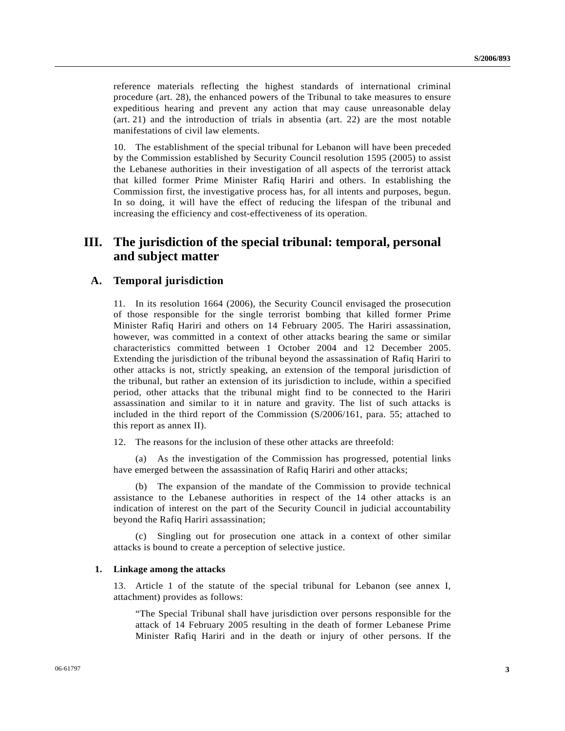reference materials reflecting the highest standards of international criminal procedure (art. 28), the enhanced powers of the Tribunal to take measures to ensure expeditious hearing and prevent any action that may cause unreasonable delay (art. 21) and the introduction of trials in absentia (art. 22) are the most notable manifestations of civil law elements.

10. The establishment of the special tribunal for Lebanon will have been preceded by the Commission established by Security Council resolution 1595 (2005) to assist the Lebanese authorities in their investigation of all aspects of the terrorist attack that killed former Prime Minister Rafiq Hariri and others. In establishing the Commission first, the investigative process has, for all intents and purposes, begun. In so doing, it will have the effect of reducing the lifespan of the tribunal and increasing the efficiency and cost-effectiveness of its operation.

## **III. The jurisdiction of the special tribunal: temporal, personal and subject matter**

## **A. Temporal jurisdiction**

11. In its resolution 1664 (2006), the Security Council envisaged the prosecution of those responsible for the single terrorist bombing that killed former Prime Minister Rafiq Hariri and others on 14 February 2005. The Hariri assassination, however, was committed in a context of other attacks bearing the same or similar characteristics committed between 1 October 2004 and 12 December 2005. Extending the jurisdiction of the tribunal beyond the assassination of Rafiq Hariri to other attacks is not, strictly speaking, an extension of the temporal jurisdiction of the tribunal, but rather an extension of its jurisdiction to include, within a specified period, other attacks that the tribunal might find to be connected to the Hariri assassination and similar to it in nature and gravity. The list of such attacks is included in the third report of the Commission (S/2006/161, para. 55; attached to this report as annex II).

12. The reasons for the inclusion of these other attacks are threefold:

 (a) As the investigation of the Commission has progressed, potential links have emerged between the assassination of Rafiq Hariri and other attacks;

 (b) The expansion of the mandate of the Commission to provide technical assistance to the Lebanese authorities in respect of the 14 other attacks is an indication of interest on the part of the Security Council in judicial accountability beyond the Rafiq Hariri assassination;

 (c) Singling out for prosecution one attack in a context of other similar attacks is bound to create a perception of selective justice.

#### **1. Linkage among the attacks**

13. Article 1 of the statute of the special tribunal for Lebanon (see annex I, attachment) provides as follows:

"The Special Tribunal shall have jurisdiction over persons responsible for the attack of 14 February 2005 resulting in the death of former Lebanese Prime Minister Rafiq Hariri and in the death or injury of other persons. If the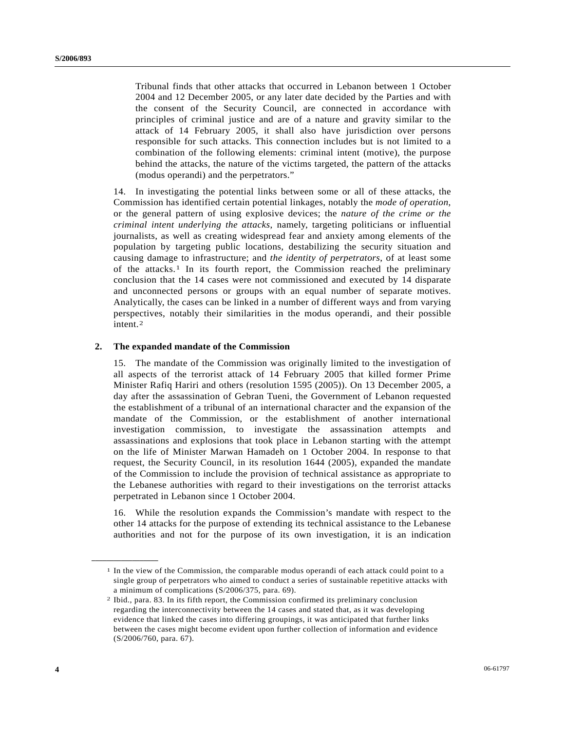Tribunal finds that other attacks that occurred in Lebanon between 1 October 2004 and 12 December 2005, or any later date decided by the Parties and with the consent of the Security Council, are connected in accordance with principles of criminal justice and are of a nature and gravity similar to the attack of 14 February 2005, it shall also have jurisdiction over persons responsible for such attacks. This connection includes but is not limited to a combination of the following elements: criminal intent (motive), the purpose behind the attacks, the nature of the victims targeted, the pattern of the attacks (modus operandi) and the perpetrators."

14. In investigating the potential links between some or all of these attacks, the Commission has identified certain potential linkages, notably the *mode of operation*, or the general pattern of using explosive devices; the *nature of the crime or the criminal intent underlying the attacks*, namely, targeting politicians or influential journalists, as well as creating widespread fear and anxiety among elements of the population by targeting public locations, destabilizing the security situation and causing damage to infrastructure; and *the identity of perpetrators*, of at least some of the attacks.[1](#page-3-0) In its fourth report, the Commission reached the preliminary conclusion that the 14 cases were not commissioned and executed by 14 disparate and unconnected persons or groups with an equal number of separate motives. Analytically, the cases can be linked in a number of different ways and from varying perspectives, notably their similarities in the modus operandi, and their possible intent.[2](#page-3-1)

#### **2. The expanded mandate of the Commission**

15. The mandate of the Commission was originally limited to the investigation of all aspects of the terrorist attack of 14 February 2005 that killed former Prime Minister Rafiq Hariri and others (resolution 1595 (2005)). On 13 December 2005, a day after the assassination of Gebran Tueni, the Government of Lebanon requested the establishment of a tribunal of an international character and the expansion of the mandate of the Commission, or the establishment of another international investigation commission, to investigate the assassination attempts and assassinations and explosions that took place in Lebanon starting with the attempt on the life of Minister Marwan Hamadeh on 1 October 2004. In response to that request, the Security Council, in its resolution 1644 (2005), expanded the mandate of the Commission to include the provision of technical assistance as appropriate to the Lebanese authorities with regard to their investigations on the terrorist attacks perpetrated in Lebanon since 1 October 2004.

16. While the resolution expands the Commission's mandate with respect to the other 14 attacks for the purpose of extending its technical assistance to the Lebanese authorities and not for the purpose of its own investigation, it is an indication

<span id="page-3-1"></span><span id="page-3-0"></span>**\_\_\_\_\_\_\_\_\_\_\_\_\_\_\_\_\_\_** 

<sup>1</sup> In the view of the Commission, the comparable modus operandi of each attack could point to a single group of perpetrators who aimed to conduct a series of sustainable repetitive attacks with a minimum of complications (S/2006/375, para. 69).

<sup>2</sup> Ibid., para. 83. In its fifth report, the Commission confirmed its preliminary conclusion regarding the interconnectivity between the 14 cases and stated that, as it was developing evidence that linked the cases into differing groupings, it was anticipated that further links between the cases might become evident upon further collection of information and evidence (S/2006/760, para. 67).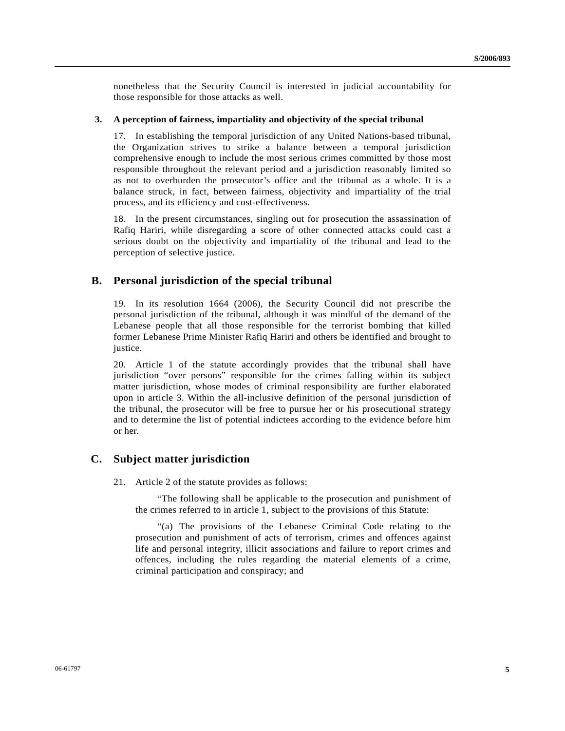nonetheless that the Security Council is interested in judicial accountability for those responsible for those attacks as well.

#### **3. A perception of fairness, impartiality and objectivity of the special tribunal**

17. In establishing the temporal jurisdiction of any United Nations-based tribunal, the Organization strives to strike a balance between a temporal jurisdiction comprehensive enough to include the most serious crimes committed by those most responsible throughout the relevant period and a jurisdiction reasonably limited so as not to overburden the prosecutor's office and the tribunal as a whole. It is a balance struck, in fact, between fairness, objectivity and impartiality of the trial process, and its efficiency and cost-effectiveness.

18. In the present circumstances, singling out for prosecution the assassination of Rafiq Hariri, while disregarding a score of other connected attacks could cast a serious doubt on the objectivity and impartiality of the tribunal and lead to the perception of selective justice.

#### **B. Personal jurisdiction of the special tribunal**

19. In its resolution 1664 (2006), the Security Council did not prescribe the personal jurisdiction of the tribunal, although it was mindful of the demand of the Lebanese people that all those responsible for the terrorist bombing that killed former Lebanese Prime Minister Rafiq Hariri and others be identified and brought to justice.

20. Article 1 of the statute accordingly provides that the tribunal shall have jurisdiction "over persons" responsible for the crimes falling within its subject matter jurisdiction, whose modes of criminal responsibility are further elaborated upon in article 3. Within the all-inclusive definition of the personal jurisdiction of the tribunal, the prosecutor will be free to pursue her or his prosecutional strategy and to determine the list of potential indictees according to the evidence before him or her.

#### **C. Subject matter jurisdiction**

21. Article 2 of the statute provides as follows:

 "The following shall be applicable to the prosecution and punishment of the crimes referred to in article 1, subject to the provisions of this Statute:

 "(a) The provisions of the Lebanese Criminal Code relating to the prosecution and punishment of acts of terrorism, crimes and offences against life and personal integrity, illicit associations and failure to report crimes and offences, including the rules regarding the material elements of a crime, criminal participation and conspiracy; and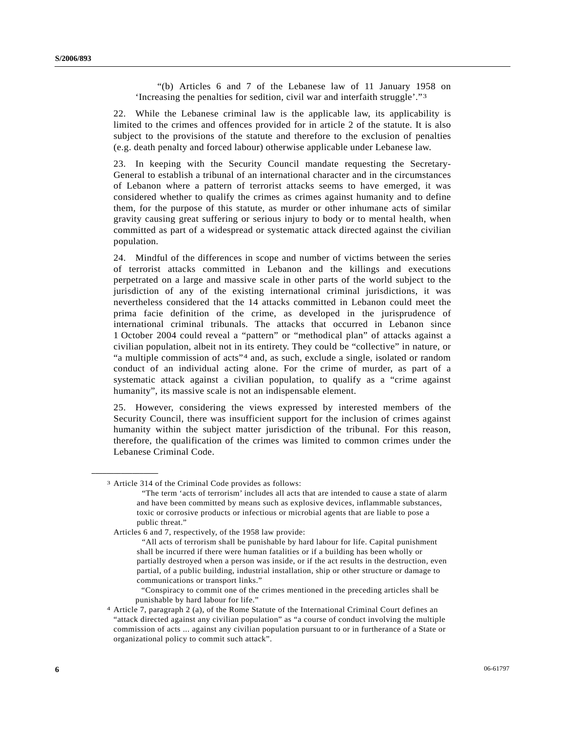"(b) Articles 6 and 7 of the Lebanese law of 11 January 1958 on 'Increasing the penalties for sedition, civil war and interfaith struggle'."[3](#page-5-0) 

22. While the Lebanese criminal law is the applicable law, its applicability is limited to the crimes and offences provided for in article 2 of the statute. It is also subject to the provisions of the statute and therefore to the exclusion of penalties (e.g. death penalty and forced labour) otherwise applicable under Lebanese law.

23. In keeping with the Security Council mandate requesting the Secretary-General to establish a tribunal of an international character and in the circumstances of Lebanon where a pattern of terrorist attacks seems to have emerged, it was considered whether to qualify the crimes as crimes against humanity and to define them, for the purpose of this statute, as murder or other inhumane acts of similar gravity causing great suffering or serious injury to body or to mental health, when committed as part of a widespread or systematic attack directed against the civilian population.

24. Mindful of the differences in scope and number of victims between the series of terrorist attacks committed in Lebanon and the killings and executions perpetrated on a large and massive scale in other parts of the world subject to the jurisdiction of any of the existing international criminal jurisdictions, it was nevertheless considered that the 14 attacks committed in Lebanon could meet the prima facie definition of the crime, as developed in the jurisprudence of international criminal tribunals. The attacks that occurred in Lebanon since 1 October 2004 could reveal a "pattern" or "methodical plan" of attacks against a civilian population, albeit not in its entirety. They could be "collective" in nature, or "a multiple commission of acts"[4](#page-5-1) and, as such, exclude a single, isolated or random conduct of an individual acting alone. For the crime of murder, as part of a systematic attack against a civilian population, to qualify as a "crime against humanity", its massive scale is not an indispensable element.

25. However, considering the views expressed by interested members of the Security Council, there was insufficient support for the inclusion of crimes against humanity within the subject matter jurisdiction of the tribunal. For this reason, therefore, the qualification of the crimes was limited to common crimes under the Lebanese Criminal Code.

<span id="page-5-0"></span>**\_\_\_\_\_\_\_\_\_\_\_\_\_\_\_\_\_\_** 

<sup>3</sup> Article 314 of the Criminal Code provides as follows:

 <sup>&</sup>quot;The term 'acts of terrorism' includes all acts that are intended to cause a state of alarm and have been committed by means such as explosive devices, inflammable substances, toxic or corrosive products or infectious or microbial agents that are liable to pose a public threat."

Articles 6 and 7, respectively, of the 1958 law provide:

 <sup>&</sup>quot;All acts of terrorism shall be punishable by hard labour for life. Capital punishment shall be incurred if there were human fatalities or if a building has been wholly or partially destroyed when a person was inside, or if the act results in the destruction, even partial, of a public building, industrial installation, ship or other structure or damage to communications or transport links."

 <sup>&</sup>quot;Conspiracy to commit one of the crimes mentioned in the preceding articles shall be punishable by hard labour for life."

<span id="page-5-1"></span><sup>4</sup> Article 7, paragraph 2 (a), of the Rome Statute of the International Criminal Court defines an "attack directed against any civilian population" as "a course of conduct involving the multiple commission of acts ... against any civilian population pursuant to or in furtherance of a State or organizational policy to commit such attack".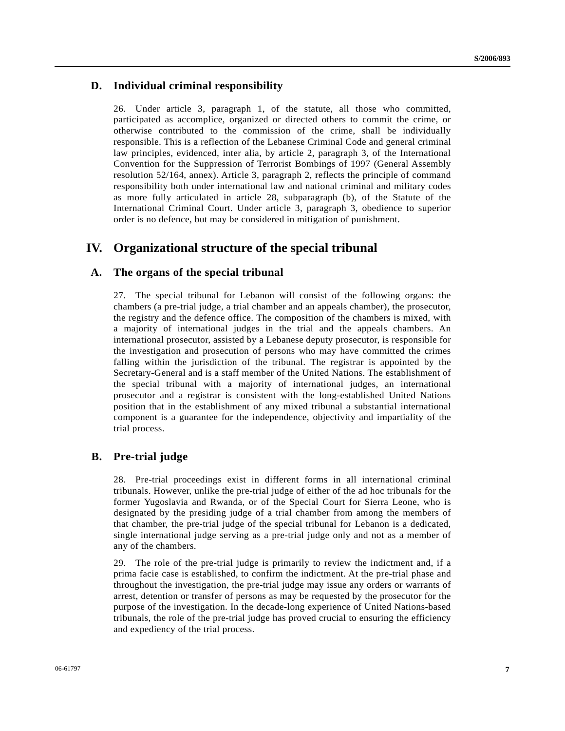## **D. Individual criminal responsibility**

26. Under article 3, paragraph 1, of the statute, all those who committed, participated as accomplice, organized or directed others to commit the crime, or otherwise contributed to the commission of the crime, shall be individually responsible. This is a reflection of the Lebanese Criminal Code and general criminal law principles, evidenced, inter alia, by article 2, paragraph 3, of the International Convention for the Suppression of Terrorist Bombings of 1997 (General Assembly resolution 52/164, annex). Article 3, paragraph 2, reflects the principle of command responsibility both under international law and national criminal and military codes as more fully articulated in article 28, subparagraph (b), of the Statute of the International Criminal Court. Under article 3, paragraph 3, obedience to superior order is no defence, but may be considered in mitigation of punishment.

## **IV. Organizational structure of the special tribunal**

#### **A. The organs of the special tribunal**

27. The special tribunal for Lebanon will consist of the following organs: the chambers (a pre-trial judge, a trial chamber and an appeals chamber), the prosecutor, the registry and the defence office. The composition of the chambers is mixed, with a majority of international judges in the trial and the appeals chambers. An international prosecutor, assisted by a Lebanese deputy prosecutor, is responsible for the investigation and prosecution of persons who may have committed the crimes falling within the jurisdiction of the tribunal. The registrar is appointed by the Secretary-General and is a staff member of the United Nations. The establishment of the special tribunal with a majority of international judges, an international prosecutor and a registrar is consistent with the long-established United Nations position that in the establishment of any mixed tribunal a substantial international component is a guarantee for the independence, objectivity and impartiality of the trial process.

#### **B. Pre-trial judge**

28. Pre-trial proceedings exist in different forms in all international criminal tribunals. However, unlike the pre-trial judge of either of the ad hoc tribunals for the former Yugoslavia and Rwanda, or of the Special Court for Sierra Leone, who is designated by the presiding judge of a trial chamber from among the members of that chamber, the pre-trial judge of the special tribunal for Lebanon is a dedicated, single international judge serving as a pre-trial judge only and not as a member of any of the chambers.

29. The role of the pre-trial judge is primarily to review the indictment and, if a prima facie case is established, to confirm the indictment. At the pre-trial phase and throughout the investigation, the pre-trial judge may issue any orders or warrants of arrest, detention or transfer of persons as may be requested by the prosecutor for the purpose of the investigation. In the decade-long experience of United Nations-based tribunals, the role of the pre-trial judge has proved crucial to ensuring the efficiency and expediency of the trial process.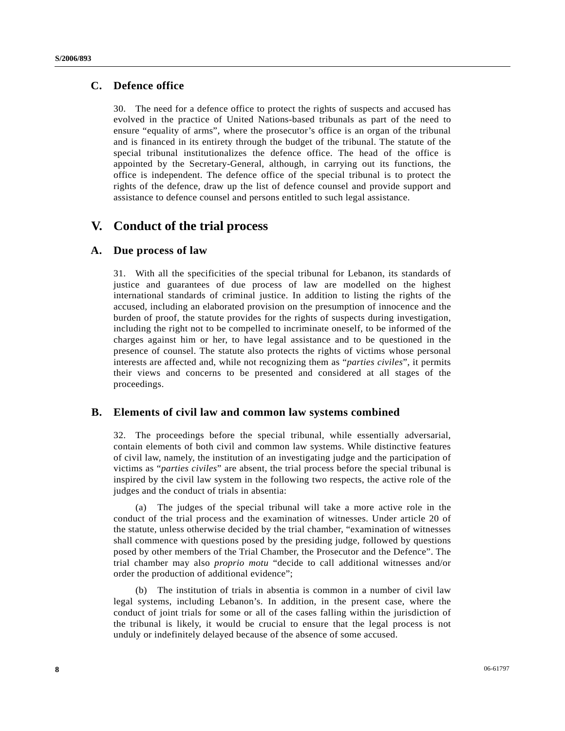## **C. Defence office**

30. The need for a defence office to protect the rights of suspects and accused has evolved in the practice of United Nations-based tribunals as part of the need to ensure "equality of arms", where the prosecutor's office is an organ of the tribunal and is financed in its entirety through the budget of the tribunal. The statute of the special tribunal institutionalizes the defence office. The head of the office is appointed by the Secretary-General, although, in carrying out its functions, the office is independent. The defence office of the special tribunal is to protect the rights of the defence, draw up the list of defence counsel and provide support and assistance to defence counsel and persons entitled to such legal assistance.

## **V. Conduct of the trial process**

#### **A. Due process of law**

31. With all the specificities of the special tribunal for Lebanon, its standards of justice and guarantees of due process of law are modelled on the highest international standards of criminal justice. In addition to listing the rights of the accused, including an elaborated provision on the presumption of innocence and the burden of proof, the statute provides for the rights of suspects during investigation, including the right not to be compelled to incriminate oneself, to be informed of the charges against him or her, to have legal assistance and to be questioned in the presence of counsel. The statute also protects the rights of victims whose personal interests are affected and, while not recognizing them as "*parties civiles*", it permits their views and concerns to be presented and considered at all stages of the proceedings.

#### **B. Elements of civil law and common law systems combined**

32. The proceedings before the special tribunal, while essentially adversarial, contain elements of both civil and common law systems. While distinctive features of civil law, namely, the institution of an investigating judge and the participation of victims as "*parties civiles*" are absent, the trial process before the special tribunal is inspired by the civil law system in the following two respects, the active role of the judges and the conduct of trials in absentia:

 (a) The judges of the special tribunal will take a more active role in the conduct of the trial process and the examination of witnesses. Under article 20 of the statute, unless otherwise decided by the trial chamber, "examination of witnesses shall commence with questions posed by the presiding judge, followed by questions posed by other members of the Trial Chamber, the Prosecutor and the Defence". The trial chamber may also *proprio motu* "decide to call additional witnesses and/or order the production of additional evidence";

 (b) The institution of trials in absentia is common in a number of civil law legal systems, including Lebanon's. In addition, in the present case, where the conduct of joint trials for some or all of the cases falling within the jurisdiction of the tribunal is likely, it would be crucial to ensure that the legal process is not unduly or indefinitely delayed because of the absence of some accused.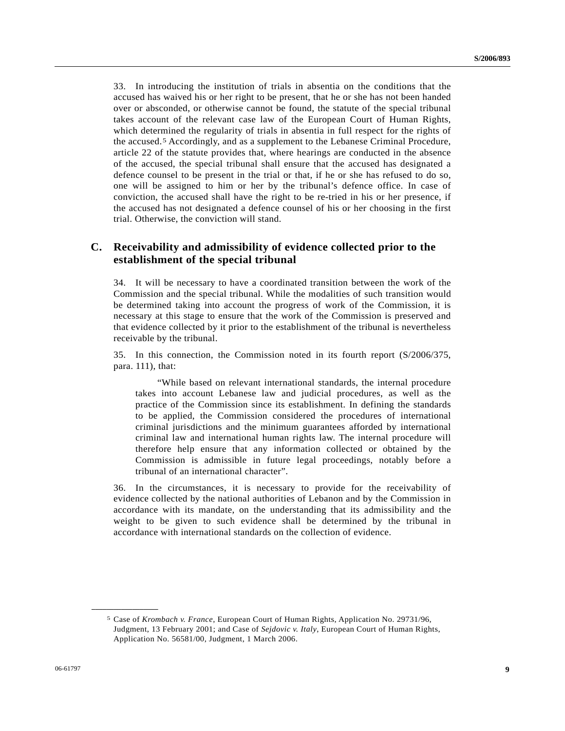33. In introducing the institution of trials in absentia on the conditions that the accused has waived his or her right to be present, that he or she has not been handed over or absconded, or otherwise cannot be found, the statute of the special tribunal takes account of the relevant case law of the European Court of Human Rights, which determined the regularity of trials in absentia in full respect for the rights of the accused.[5](#page-8-0) Accordingly, and as a supplement to the Lebanese Criminal Procedure, article 22 of the statute provides that, where hearings are conducted in the absence of the accused, the special tribunal shall ensure that the accused has designated a defence counsel to be present in the trial or that, if he or she has refused to do so, one will be assigned to him or her by the tribunal's defence office. In case of conviction, the accused shall have the right to be re-tried in his or her presence, if the accused has not designated a defence counsel of his or her choosing in the first trial. Otherwise, the conviction will stand.

## **C. Receivability and admissibility of evidence collected prior to the establishment of the special tribunal**

34. It will be necessary to have a coordinated transition between the work of the Commission and the special tribunal. While the modalities of such transition would be determined taking into account the progress of work of the Commission, it is necessary at this stage to ensure that the work of the Commission is preserved and that evidence collected by it prior to the establishment of the tribunal is nevertheless receivable by the tribunal.

35. In this connection, the Commission noted in its fourth report (S/2006/375, para. 111), that:

 "While based on relevant international standards, the internal procedure takes into account Lebanese law and judicial procedures, as well as the practice of the Commission since its establishment. In defining the standards to be applied, the Commission considered the procedures of international criminal jurisdictions and the minimum guarantees afforded by international criminal law and international human rights law. The internal procedure will therefore help ensure that any information collected or obtained by the Commission is admissible in future legal proceedings, notably before a tribunal of an international character".

36. In the circumstances, it is necessary to provide for the receivability of evidence collected by the national authorities of Lebanon and by the Commission in accordance with its mandate, on the understanding that its admissibility and the weight to be given to such evidence shall be determined by the tribunal in accordance with international standards on the collection of evidence.

<span id="page-8-0"></span>**\_\_\_\_\_\_\_\_\_\_\_\_\_\_\_\_\_\_** 

<sup>5</sup> Case of *Krombach v. France*, European Court of Human Rights, Application No. 29731/96, Judgment, 13 February 2001; and Case of *Sejdovic v. Italy*, European Court of Human Rights, Application No. 56581/00, Judgment, 1 March 2006.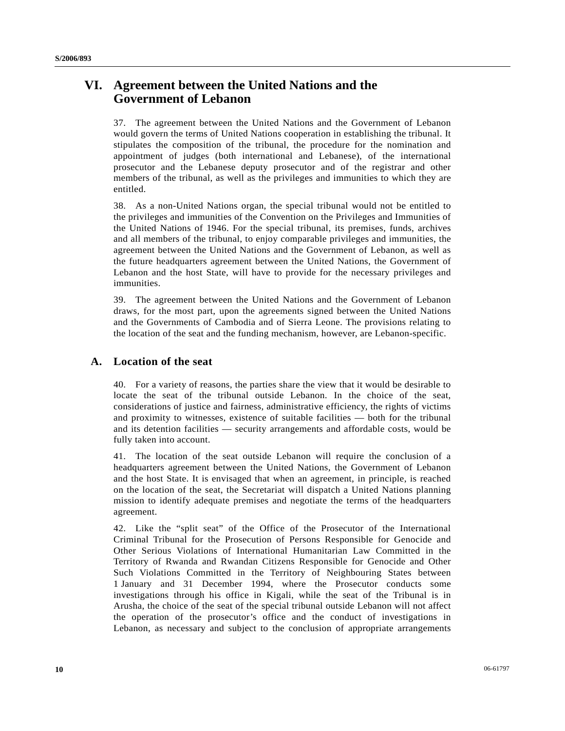## **VI. Agreement between the United Nations and the Government of Lebanon**

37. The agreement between the United Nations and the Government of Lebanon would govern the terms of United Nations cooperation in establishing the tribunal. It stipulates the composition of the tribunal, the procedure for the nomination and appointment of judges (both international and Lebanese), of the international prosecutor and the Lebanese deputy prosecutor and of the registrar and other members of the tribunal, as well as the privileges and immunities to which they are entitled.

38. As a non-United Nations organ, the special tribunal would not be entitled to the privileges and immunities of the Convention on the Privileges and Immunities of the United Nations of 1946. For the special tribunal, its premises, funds, archives and all members of the tribunal, to enjoy comparable privileges and immunities, the agreement between the United Nations and the Government of Lebanon, as well as the future headquarters agreement between the United Nations, the Government of Lebanon and the host State, will have to provide for the necessary privileges and immunities.

39. The agreement between the United Nations and the Government of Lebanon draws, for the most part, upon the agreements signed between the United Nations and the Governments of Cambodia and of Sierra Leone. The provisions relating to the location of the seat and the funding mechanism, however, are Lebanon-specific.

## **A. Location of the seat**

40. For a variety of reasons, the parties share the view that it would be desirable to locate the seat of the tribunal outside Lebanon. In the choice of the seat, considerations of justice and fairness, administrative efficiency, the rights of victims and proximity to witnesses, existence of suitable facilities — both for the tribunal and its detention facilities — security arrangements and affordable costs, would be fully taken into account.

41. The location of the seat outside Lebanon will require the conclusion of a headquarters agreement between the United Nations, the Government of Lebanon and the host State. It is envisaged that when an agreement, in principle, is reached on the location of the seat, the Secretariat will dispatch a United Nations planning mission to identify adequate premises and negotiate the terms of the headquarters agreement.

42. Like the "split seat" of the Office of the Prosecutor of the International Criminal Tribunal for the Prosecution of Persons Responsible for Genocide and Other Serious Violations of International Humanitarian Law Committed in the Territory of Rwanda and Rwandan Citizens Responsible for Genocide and Other Such Violations Committed in the Territory of Neighbouring States between 1 January and 31 December 1994, where the Prosecutor conducts some investigations through his office in Kigali, while the seat of the Tribunal is in Arusha, the choice of the seat of the special tribunal outside Lebanon will not affect the operation of the prosecutor's office and the conduct of investigations in Lebanon, as necessary and subject to the conclusion of appropriate arrangements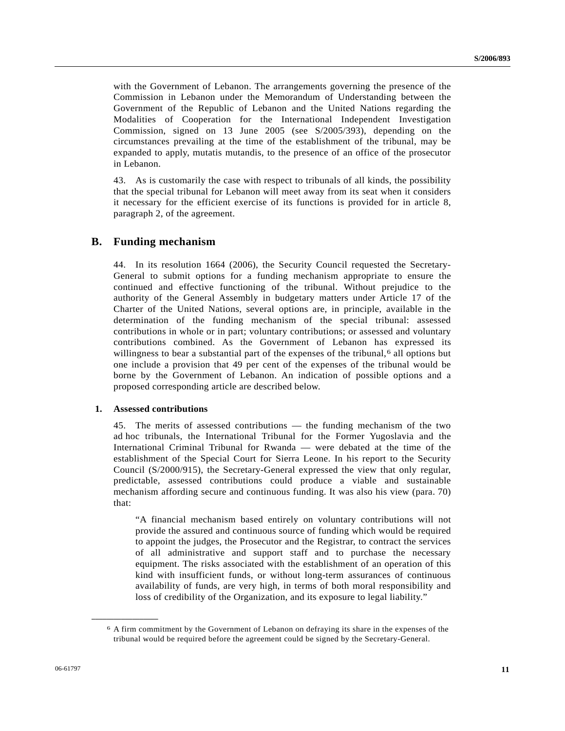with the Government of Lebanon. The arrangements governing the presence of the Commission in Lebanon under the Memorandum of Understanding between the Government of the Republic of Lebanon and the United Nations regarding the Modalities of Cooperation for the International Independent Investigation Commission, signed on 13 June 2005 (see S/2005/393), depending on the circumstances prevailing at the time of the establishment of the tribunal, may be expanded to apply, mutatis mutandis, to the presence of an office of the prosecutor in Lebanon.

43. As is customarily the case with respect to tribunals of all kinds, the possibility that the special tribunal for Lebanon will meet away from its seat when it considers it necessary for the efficient exercise of its functions is provided for in article 8, paragraph 2, of the agreement.

#### **B. Funding mechanism**

44. In its resolution 1664 (2006), the Security Council requested the Secretary-General to submit options for a funding mechanism appropriate to ensure the continued and effective functioning of the tribunal. Without prejudice to the authority of the General Assembly in budgetary matters under Article 17 of the Charter of the United Nations, several options are, in principle, available in the determination of the funding mechanism of the special tribunal: assessed contributions in whole or in part; voluntary contributions; or assessed and voluntary contributions combined. As the Government of Lebanon has expressed its willingness to bear a substantial part of the expenses of the tribunal,<sup>6</sup> all options but one include a provision that 49 per cent of the expenses of the tribunal would be borne by the Government of Lebanon. An indication of possible options and a proposed corresponding article are described below.

#### **1. Assessed contributions**

<span id="page-10-0"></span>**\_\_\_\_\_\_\_\_\_\_\_\_\_\_\_\_\_\_** 

45. The merits of assessed contributions — the funding mechanism of the two ad hoc tribunals, the International Tribunal for the Former Yugoslavia and the International Criminal Tribunal for Rwanda — were debated at the time of the establishment of the Special Court for Sierra Leone. In his report to the Security Council (S/2000/915), the Secretary-General expressed the view that only regular, predictable, assessed contributions could produce a viable and sustainable mechanism affording secure and continuous funding. It was also his view (para. 70) that:

"A financial mechanism based entirely on voluntary contributions will not provide the assured and continuous source of funding which would be required to appoint the judges, the Prosecutor and the Registrar, to contract the services of all administrative and support staff and to purchase the necessary equipment. The risks associated with the establishment of an operation of this kind with insufficient funds, or without long-term assurances of continuous availability of funds, are very high, in terms of both moral responsibility and loss of credibility of the Organization, and its exposure to legal liability."

<sup>6</sup> A firm commitment by the Government of Lebanon on defraying its share in the expenses of the tribunal would be required before the agreement could be signed by the Secretary-General.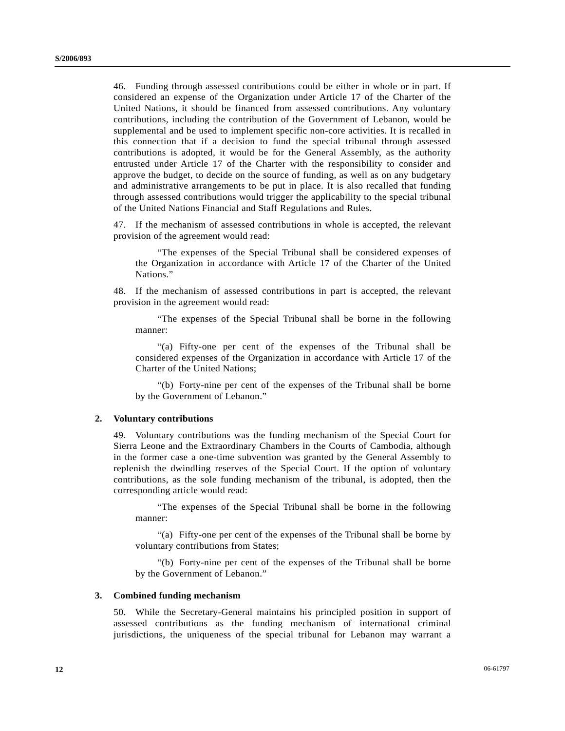46. Funding through assessed contributions could be either in whole or in part. If considered an expense of the Organization under Article 17 of the Charter of the United Nations, it should be financed from assessed contributions. Any voluntary contributions, including the contribution of the Government of Lebanon, would be supplemental and be used to implement specific non-core activities. It is recalled in this connection that if a decision to fund the special tribunal through assessed contributions is adopted, it would be for the General Assembly, as the authority entrusted under Article 17 of the Charter with the responsibility to consider and approve the budget, to decide on the source of funding, as well as on any budgetary and administrative arrangements to be put in place. It is also recalled that funding through assessed contributions would trigger the applicability to the special tribunal of the United Nations Financial and Staff Regulations and Rules.

47. If the mechanism of assessed contributions in whole is accepted, the relevant provision of the agreement would read:

 "The expenses of the Special Tribunal shall be considered expenses of the Organization in accordance with Article 17 of the Charter of the United Nations."

48. If the mechanism of assessed contributions in part is accepted, the relevant provision in the agreement would read:

 "The expenses of the Special Tribunal shall be borne in the following manner:

 "(a) Fifty-one per cent of the expenses of the Tribunal shall be considered expenses of the Organization in accordance with Article 17 of the Charter of the United Nations;

 "(b) Forty-nine per cent of the expenses of the Tribunal shall be borne by the Government of Lebanon."

#### **2. Voluntary contributions**

49. Voluntary contributions was the funding mechanism of the Special Court for Sierra Leone and the Extraordinary Chambers in the Courts of Cambodia, although in the former case a one-time subvention was granted by the General Assembly to replenish the dwindling reserves of the Special Court. If the option of voluntary contributions, as the sole funding mechanism of the tribunal, is adopted, then the corresponding article would read:

 "The expenses of the Special Tribunal shall be borne in the following manner:

 "(a) Fifty-one per cent of the expenses of the Tribunal shall be borne by voluntary contributions from States;

 "(b) Forty-nine per cent of the expenses of the Tribunal shall be borne by the Government of Lebanon."

#### **3. Combined funding mechanism**

50. While the Secretary-General maintains his principled position in support of assessed contributions as the funding mechanism of international criminal jurisdictions, the uniqueness of the special tribunal for Lebanon may warrant a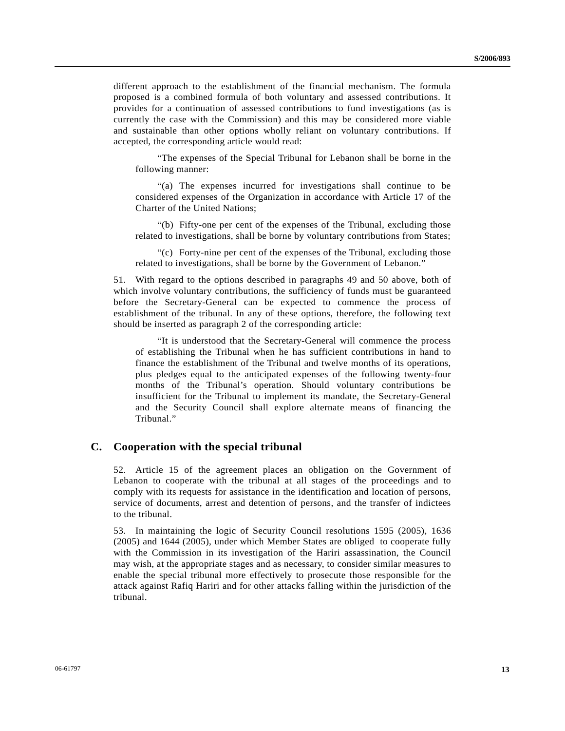different approach to the establishment of the financial mechanism. The formula proposed is a combined formula of both voluntary and assessed contributions. It provides for a continuation of assessed contributions to fund investigations (as is currently the case with the Commission) and this may be considered more viable and sustainable than other options wholly reliant on voluntary contributions. If accepted, the corresponding article would read:

 "The expenses of the Special Tribunal for Lebanon shall be borne in the following manner:

 "(a) The expenses incurred for investigations shall continue to be considered expenses of the Organization in accordance with Article 17 of the Charter of the United Nations;

 "(b) Fifty-one per cent of the expenses of the Tribunal, excluding those related to investigations, shall be borne by voluntary contributions from States;

 "(c) Forty-nine per cent of the expenses of the Tribunal, excluding those related to investigations, shall be borne by the Government of Lebanon."

51. With regard to the options described in paragraphs 49 and 50 above, both of which involve voluntary contributions, the sufficiency of funds must be guaranteed before the Secretary-General can be expected to commence the process of establishment of the tribunal. In any of these options, therefore, the following text should be inserted as paragraph 2 of the corresponding article:

 "It is understood that the Secretary-General will commence the process of establishing the Tribunal when he has sufficient contributions in hand to finance the establishment of the Tribunal and twelve months of its operations, plus pledges equal to the anticipated expenses of the following twenty-four months of the Tribunal's operation. Should voluntary contributions be insufficient for the Tribunal to implement its mandate, the Secretary-General and the Security Council shall explore alternate means of financing the Tribunal."

#### **C. Cooperation with the special tribunal**

52. Article 15 of the agreement places an obligation on the Government of Lebanon to cooperate with the tribunal at all stages of the proceedings and to comply with its requests for assistance in the identification and location of persons, service of documents, arrest and detention of persons, and the transfer of indictees to the tribunal.

53. In maintaining the logic of Security Council resolutions 1595 (2005), 1636 (2005) and 1644 (2005), under which Member States are obliged to cooperate fully with the Commission in its investigation of the Hariri assassination, the Council may wish, at the appropriate stages and as necessary, to consider similar measures to enable the special tribunal more effectively to prosecute those responsible for the attack against Rafiq Hariri and for other attacks falling within the jurisdiction of the tribunal.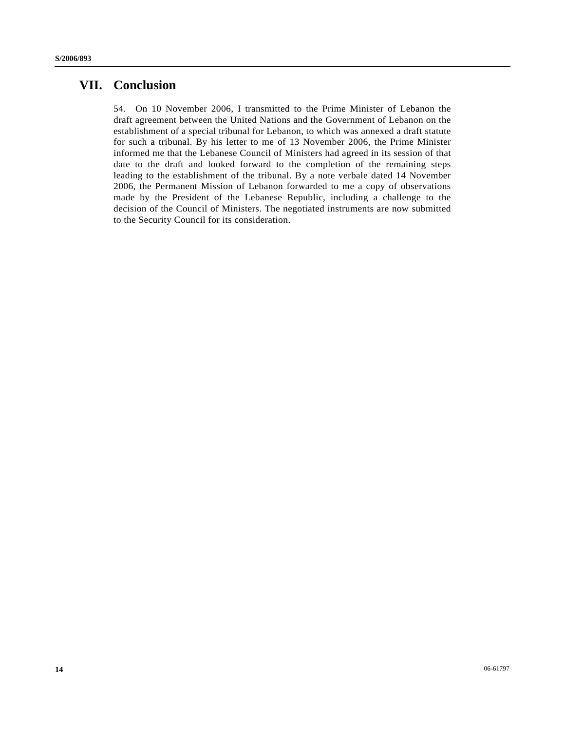## **VII. Conclusion**

54. On 10 November 2006, I transmitted to the Prime Minister of Lebanon the draft agreement between the United Nations and the Government of Lebanon on the establishment of a special tribunal for Lebanon, to which was annexed a draft statute for such a tribunal. By his letter to me of 13 November 2006, the Prime Minister informed me that the Lebanese Council of Ministers had agreed in its session of that date to the draft and looked forward to the completion of the remaining steps leading to the establishment of the tribunal. By a note verbale dated 14 November 2006, the Permanent Mission of Lebanon forwarded to me a copy of observations made by the President of the Lebanese Republic, including a challenge to the decision of the Council of Ministers. The negotiated instruments are now submitted to the Security Council for its consideration.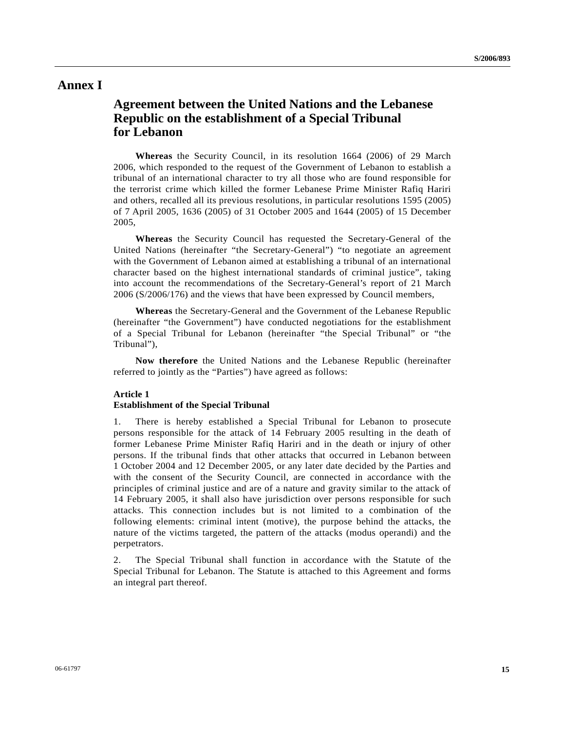## **Annex I**

## **Agreement between the United Nations and the Lebanese Republic on the establishment of a Special Tribunal for Lebanon**

**Whereas** the Security Council, in its resolution 1664 (2006) of 29 March 2006, which responded to the request of the Government of Lebanon to establish a tribunal of an international character to try all those who are found responsible for the terrorist crime which killed the former Lebanese Prime Minister Rafiq Hariri and others, recalled all its previous resolutions, in particular resolutions 1595 (2005) of 7 April 2005, 1636 (2005) of 31 October 2005 and 1644 (2005) of 15 December 2005,

**Whereas** the Security Council has requested the Secretary-General of the United Nations (hereinafter "the Secretary-General") "to negotiate an agreement with the Government of Lebanon aimed at establishing a tribunal of an international character based on the highest international standards of criminal justice", taking into account the recommendations of the Secretary-General's report of 21 March 2006 (S/2006/176) and the views that have been expressed by Council members,

**Whereas** the Secretary-General and the Government of the Lebanese Republic (hereinafter "the Government") have conducted negotiations for the establishment of a Special Tribunal for Lebanon (hereinafter "the Special Tribunal" or "the Tribunal"),

**Now therefore** the United Nations and the Lebanese Republic (hereinafter referred to jointly as the "Parties") have agreed as follows:

#### **Article 1**

#### **Establishment of the Special Tribunal**

1. There is hereby established a Special Tribunal for Lebanon to prosecute persons responsible for the attack of 14 February 2005 resulting in the death of former Lebanese Prime Minister Rafiq Hariri and in the death or injury of other persons. If the tribunal finds that other attacks that occurred in Lebanon between 1 October 2004 and 12 December 2005, or any later date decided by the Parties and with the consent of the Security Council, are connected in accordance with the principles of criminal justice and are of a nature and gravity similar to the attack of 14 February 2005, it shall also have jurisdiction over persons responsible for such attacks. This connection includes but is not limited to a combination of the following elements: criminal intent (motive), the purpose behind the attacks, the nature of the victims targeted, the pattern of the attacks (modus operandi) and the perpetrators.

2. The Special Tribunal shall function in accordance with the Statute of the Special Tribunal for Lebanon. The Statute is attached to this Agreement and forms an integral part thereof.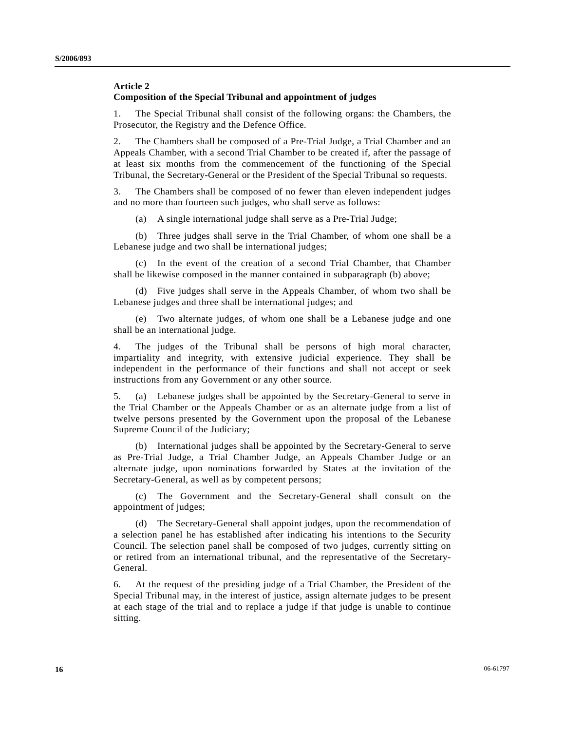#### **Article 2**

#### **Composition of the Special Tribunal and appointment of judges**

1. The Special Tribunal shall consist of the following organs: the Chambers, the Prosecutor, the Registry and the Defence Office.

2. The Chambers shall be composed of a Pre-Trial Judge, a Trial Chamber and an Appeals Chamber, with a second Trial Chamber to be created if, after the passage of at least six months from the commencement of the functioning of the Special Tribunal, the Secretary-General or the President of the Special Tribunal so requests.

3. The Chambers shall be composed of no fewer than eleven independent judges and no more than fourteen such judges, who shall serve as follows:

(a) A single international judge shall serve as a Pre-Trial Judge;

 (b) Three judges shall serve in the Trial Chamber, of whom one shall be a Lebanese judge and two shall be international judges;

 (c) In the event of the creation of a second Trial Chamber, that Chamber shall be likewise composed in the manner contained in subparagraph (b) above;

 (d) Five judges shall serve in the Appeals Chamber, of whom two shall be Lebanese judges and three shall be international judges; and

 (e) Two alternate judges, of whom one shall be a Lebanese judge and one shall be an international judge.

4. The judges of the Tribunal shall be persons of high moral character, impartiality and integrity, with extensive judicial experience. They shall be independent in the performance of their functions and shall not accept or seek instructions from any Government or any other source.

5. (a) Lebanese judges shall be appointed by the Secretary-General to serve in the Trial Chamber or the Appeals Chamber or as an alternate judge from a list of twelve persons presented by the Government upon the proposal of the Lebanese Supreme Council of the Judiciary;

 (b) International judges shall be appointed by the Secretary-General to serve as Pre-Trial Judge, a Trial Chamber Judge, an Appeals Chamber Judge or an alternate judge, upon nominations forwarded by States at the invitation of the Secretary-General, as well as by competent persons;

 (c) The Government and the Secretary-General shall consult on the appointment of judges;

 (d) The Secretary-General shall appoint judges, upon the recommendation of a selection panel he has established after indicating his intentions to the Security Council. The selection panel shall be composed of two judges, currently sitting on or retired from an international tribunal, and the representative of the Secretary-General.

6. At the request of the presiding judge of a Trial Chamber, the President of the Special Tribunal may, in the interest of justice, assign alternate judges to be present at each stage of the trial and to replace a judge if that judge is unable to continue sitting.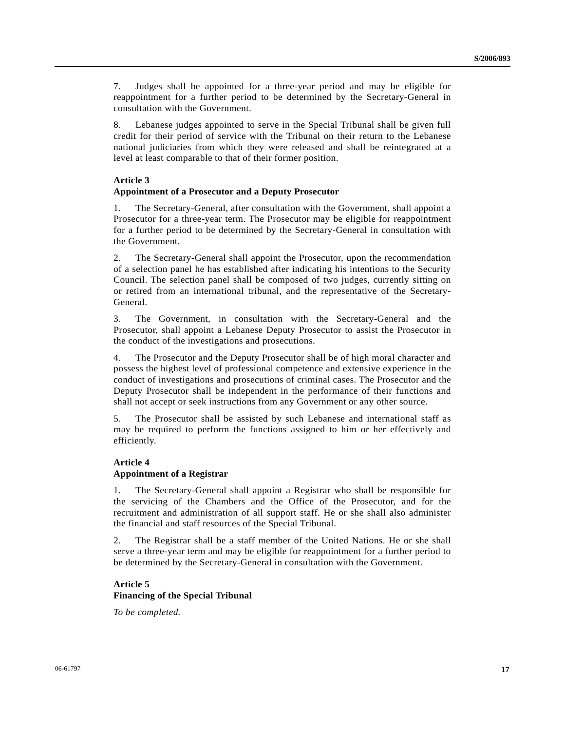7. Judges shall be appointed for a three-year period and may be eligible for reappointment for a further period to be determined by the Secretary-General in consultation with the Government.

8. Lebanese judges appointed to serve in the Special Tribunal shall be given full credit for their period of service with the Tribunal on their return to the Lebanese national judiciaries from which they were released and shall be reintegrated at a level at least comparable to that of their former position.

#### **Article 3**

#### **Appointment of a Prosecutor and a Deputy Prosecutor**

1. The Secretary-General, after consultation with the Government, shall appoint a Prosecutor for a three-year term. The Prosecutor may be eligible for reappointment for a further period to be determined by the Secretary-General in consultation with the Government.

2. The Secretary-General shall appoint the Prosecutor, upon the recommendation of a selection panel he has established after indicating his intentions to the Security Council. The selection panel shall be composed of two judges, currently sitting on or retired from an international tribunal, and the representative of the Secretary-General.

3. The Government, in consultation with the Secretary-General and the Prosecutor, shall appoint a Lebanese Deputy Prosecutor to assist the Prosecutor in the conduct of the investigations and prosecutions.

4. The Prosecutor and the Deputy Prosecutor shall be of high moral character and possess the highest level of professional competence and extensive experience in the conduct of investigations and prosecutions of criminal cases. The Prosecutor and the Deputy Prosecutor shall be independent in the performance of their functions and shall not accept or seek instructions from any Government or any other source.

5. The Prosecutor shall be assisted by such Lebanese and international staff as may be required to perform the functions assigned to him or her effectively and efficiently.

#### **Article 4**

#### **Appointment of a Registrar**

1. The Secretary-General shall appoint a Registrar who shall be responsible for the servicing of the Chambers and the Office of the Prosecutor, and for the recruitment and administration of all support staff. He or she shall also administer the financial and staff resources of the Special Tribunal.

2. The Registrar shall be a staff member of the United Nations. He or she shall serve a three-year term and may be eligible for reappointment for a further period to be determined by the Secretary-General in consultation with the Government.

#### **Article 5 Financing of the Special Tribunal**

*To be completed.*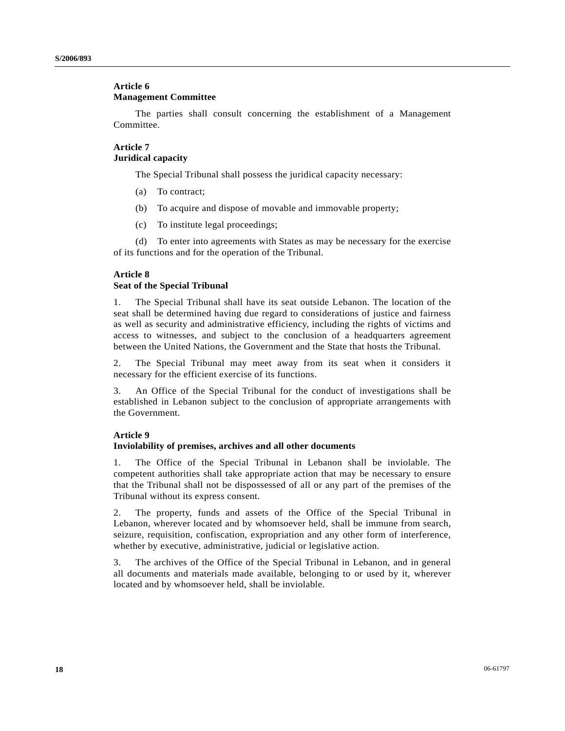#### **Article 6 Management Committee**

 The parties shall consult concerning the establishment of a Management Committee.

## **Article 7 Juridical capacity**

The Special Tribunal shall possess the juridical capacity necessary:

- (a) To contract;
- (b) To acquire and dispose of movable and immovable property;
- (c) To institute legal proceedings;

 (d) To enter into agreements with States as may be necessary for the exercise of its functions and for the operation of the Tribunal.

#### **Article 8**

#### **Seat of the Special Tribunal**

1. The Special Tribunal shall have its seat outside Lebanon. The location of the seat shall be determined having due regard to considerations of justice and fairness as well as security and administrative efficiency, including the rights of victims and access to witnesses, and subject to the conclusion of a headquarters agreement between the United Nations, the Government and the State that hosts the Tribunal.

2. The Special Tribunal may meet away from its seat when it considers it necessary for the efficient exercise of its functions.

3. An Office of the Special Tribunal for the conduct of investigations shall be established in Lebanon subject to the conclusion of appropriate arrangements with the Government.

#### **Article 9**

#### **Inviolability of premises, archives and all other documents**

1. The Office of the Special Tribunal in Lebanon shall be inviolable. The competent authorities shall take appropriate action that may be necessary to ensure that the Tribunal shall not be dispossessed of all or any part of the premises of the Tribunal without its express consent.

2. The property, funds and assets of the Office of the Special Tribunal in Lebanon, wherever located and by whomsoever held, shall be immune from search, seizure, requisition, confiscation, expropriation and any other form of interference, whether by executive, administrative, judicial or legislative action.

3. The archives of the Office of the Special Tribunal in Lebanon, and in general all documents and materials made available, belonging to or used by it, wherever located and by whomsoever held, shall be inviolable.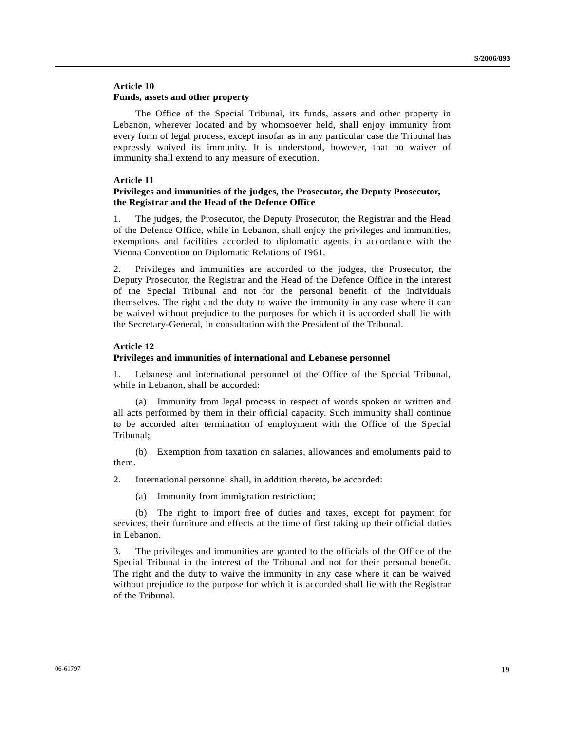#### **Article 10 Funds, assets and other property**

 The Office of the Special Tribunal, its funds, assets and other property in Lebanon, wherever located and by whomsoever held, shall enjoy immunity from every form of legal process, except insofar as in any particular case the Tribunal has expressly waived its immunity. It is understood, however, that no waiver of immunity shall extend to any measure of execution.

#### **Article 11**

#### **Privileges and immunities of the judges, the Prosecutor, the Deputy Prosecutor, the Registrar and the Head of the Defence Office**

1. The judges, the Prosecutor, the Deputy Prosecutor, the Registrar and the Head of the Defence Office, while in Lebanon, shall enjoy the privileges and immunities, exemptions and facilities accorded to diplomatic agents in accordance with the Vienna Convention on Diplomatic Relations of 1961.

2. Privileges and immunities are accorded to the judges, the Prosecutor, the Deputy Prosecutor, the Registrar and the Head of the Defence Office in the interest of the Special Tribunal and not for the personal benefit of the individuals themselves. The right and the duty to waive the immunity in any case where it can be waived without prejudice to the purposes for which it is accorded shall lie with the Secretary-General, in consultation with the President of the Tribunal.

#### **Article 12**

#### **Privileges and immunities of international and Lebanese personnel**

1. Lebanese and international personnel of the Office of the Special Tribunal, while in Lebanon, shall be accorded:

 (a) Immunity from legal process in respect of words spoken or written and all acts performed by them in their official capacity. Such immunity shall continue to be accorded after termination of employment with the Office of the Special Tribunal;

 (b) Exemption from taxation on salaries, allowances and emoluments paid to them.

2. International personnel shall, in addition thereto, be accorded:

(a) Immunity from immigration restriction;

 (b) The right to import free of duties and taxes, except for payment for services, their furniture and effects at the time of first taking up their official duties in Lebanon.

3. The privileges and immunities are granted to the officials of the Office of the Special Tribunal in the interest of the Tribunal and not for their personal benefit. The right and the duty to waive the immunity in any case where it can be waived without prejudice to the purpose for which it is accorded shall lie with the Registrar of the Tribunal.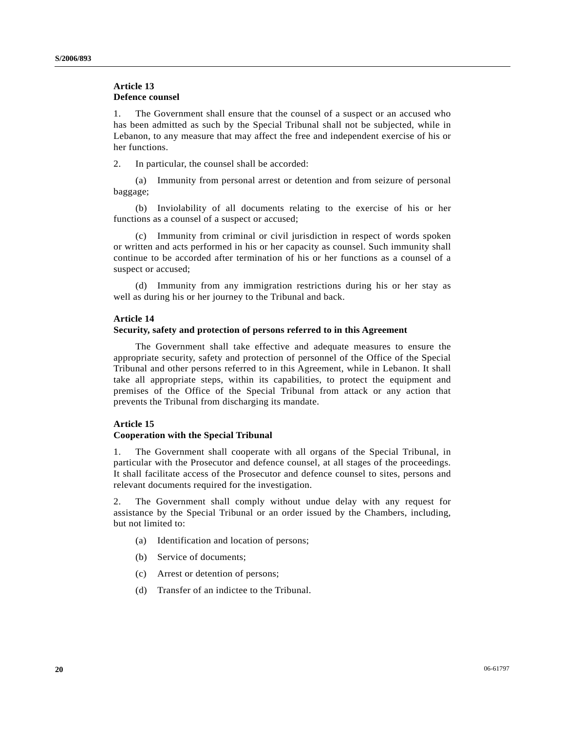#### **Article 13 Defence counsel**

1. The Government shall ensure that the counsel of a suspect or an accused who has been admitted as such by the Special Tribunal shall not be subjected, while in Lebanon, to any measure that may affect the free and independent exercise of his or her functions.

2. In particular, the counsel shall be accorded:

 (a) Immunity from personal arrest or detention and from seizure of personal baggage;

 (b) Inviolability of all documents relating to the exercise of his or her functions as a counsel of a suspect or accused;

 (c) Immunity from criminal or civil jurisdiction in respect of words spoken or written and acts performed in his or her capacity as counsel. Such immunity shall continue to be accorded after termination of his or her functions as a counsel of a suspect or accused;

 (d) Immunity from any immigration restrictions during his or her stay as well as during his or her journey to the Tribunal and back.

#### **Article 14**

#### **Security, safety and protection of persons referred to in this Agreement**

 The Government shall take effective and adequate measures to ensure the appropriate security, safety and protection of personnel of the Office of the Special Tribunal and other persons referred to in this Agreement, while in Lebanon. It shall take all appropriate steps, within its capabilities, to protect the equipment and premises of the Office of the Special Tribunal from attack or any action that prevents the Tribunal from discharging its mandate.

#### **Article 15**

#### **Cooperation with the Special Tribunal**

1. The Government shall cooperate with all organs of the Special Tribunal, in particular with the Prosecutor and defence counsel, at all stages of the proceedings. It shall facilitate access of the Prosecutor and defence counsel to sites, persons and relevant documents required for the investigation.

2. The Government shall comply without undue delay with any request for assistance by the Special Tribunal or an order issued by the Chambers, including, but not limited to:

- (a) Identification and location of persons;
- (b) Service of documents;
- (c) Arrest or detention of persons;
- (d) Transfer of an indictee to the Tribunal.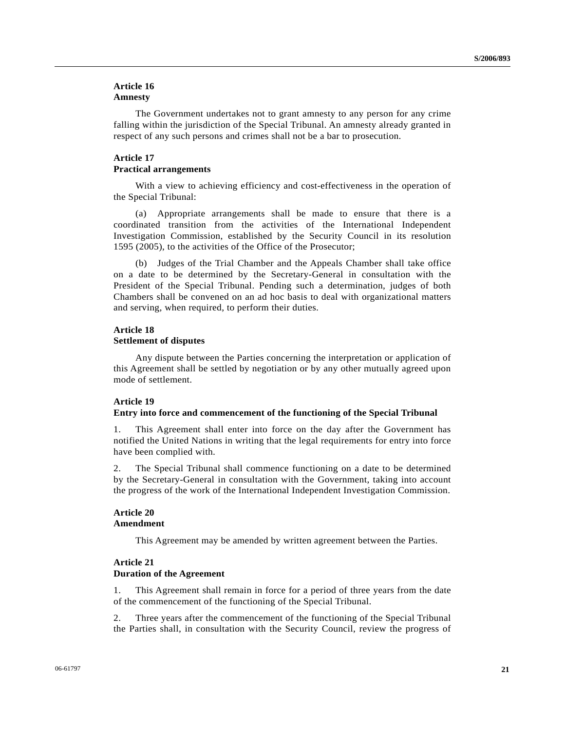#### **Article 16 Amnesty**

 The Government undertakes not to grant amnesty to any person for any crime falling within the jurisdiction of the Special Tribunal. An amnesty already granted in respect of any such persons and crimes shall not be a bar to prosecution.

#### **Article 17 Practical arrangements**

 With a view to achieving efficiency and cost-effectiveness in the operation of the Special Tribunal:

 (a) Appropriate arrangements shall be made to ensure that there is a coordinated transition from the activities of the International Independent Investigation Commission, established by the Security Council in its resolution 1595 (2005), to the activities of the Office of the Prosecutor;

 (b) Judges of the Trial Chamber and the Appeals Chamber shall take office on a date to be determined by the Secretary-General in consultation with the President of the Special Tribunal. Pending such a determination, judges of both Chambers shall be convened on an ad hoc basis to deal with organizational matters and serving, when required, to perform their duties.

#### **Article 18**

#### **Settlement of disputes**

 Any dispute between the Parties concerning the interpretation or application of this Agreement shall be settled by negotiation or by any other mutually agreed upon mode of settlement.

#### **Article 19**

#### **Entry into force and commencement of the functioning of the Special Tribunal**

1. This Agreement shall enter into force on the day after the Government has notified the United Nations in writing that the legal requirements for entry into force have been complied with.

2. The Special Tribunal shall commence functioning on a date to be determined by the Secretary-General in consultation with the Government, taking into account the progress of the work of the International Independent Investigation Commission.

#### **Article 20 Amendment**

This Agreement may be amended by written agreement between the Parties.

#### **Article 21 Duration of the Agreement**

1. This Agreement shall remain in force for a period of three years from the date of the commencement of the functioning of the Special Tribunal.

2. Three years after the commencement of the functioning of the Special Tribunal the Parties shall, in consultation with the Security Council, review the progress of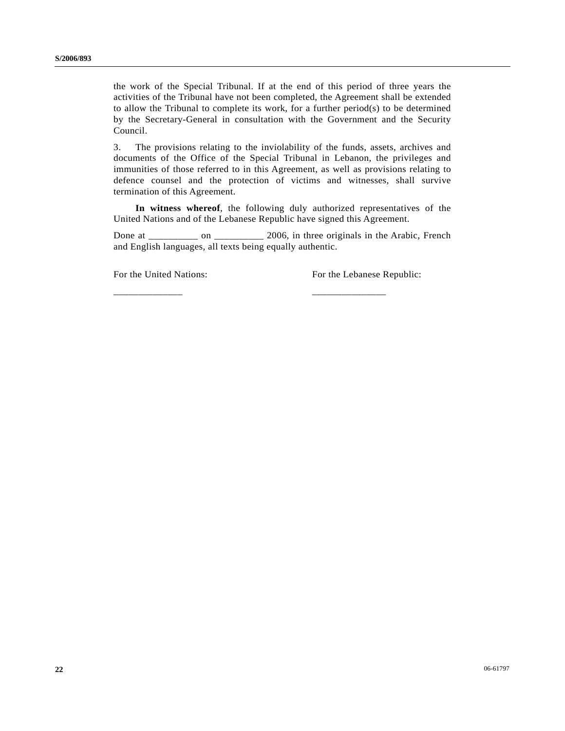the work of the Special Tribunal. If at the end of this period of three years the activities of the Tribunal have not been completed, the Agreement shall be extended to allow the Tribunal to complete its work, for a further period(s) to be determined by the Secretary-General in consultation with the Government and the Security Council.

3. The provisions relating to the inviolability of the funds, assets, archives and documents of the Office of the Special Tribunal in Lebanon, the privileges and immunities of those referred to in this Agreement, as well as provisions relating to defence counsel and the protection of victims and witnesses, shall survive termination of this Agreement.

**In witness whereof**, the following duly authorized representatives of the United Nations and of the Lebanese Republic have signed this Agreement.

Done at \_\_\_\_\_\_\_\_\_ on \_\_\_\_\_\_\_\_\_ 2006, in three originals in the Arabic, French and English languages, all texts being equally authentic.

\_\_\_\_\_\_\_\_\_\_\_\_\_\_ \_\_\_\_\_\_\_\_\_\_\_\_\_\_\_

For the United Nations: For the Lebanese Republic: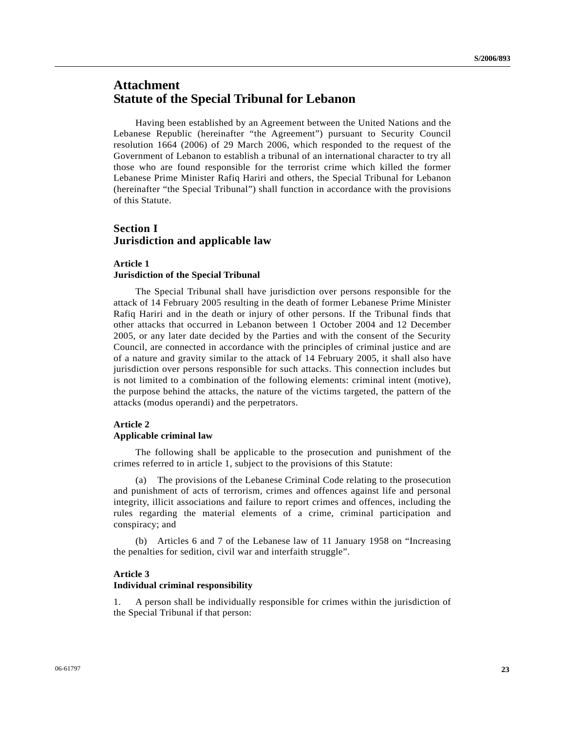## **Attachment Statute of the Special Tribunal for Lebanon**

 Having been established by an Agreement between the United Nations and the Lebanese Republic (hereinafter "the Agreement") pursuant to Security Council resolution 1664 (2006) of 29 March 2006, which responded to the request of the Government of Lebanon to establish a tribunal of an international character to try all those who are found responsible for the terrorist crime which killed the former Lebanese Prime Minister Rafiq Hariri and others, the Special Tribunal for Lebanon (hereinafter "the Special Tribunal") shall function in accordance with the provisions of this Statute.

## **Section I Jurisdiction and applicable law**

#### **Article 1 Jurisdiction of the Special Tribunal**

 The Special Tribunal shall have jurisdiction over persons responsible for the attack of 14 February 2005 resulting in the death of former Lebanese Prime Minister Rafiq Hariri and in the death or injury of other persons. If the Tribunal finds that other attacks that occurred in Lebanon between 1 October 2004 and 12 December 2005, or any later date decided by the Parties and with the consent of the Security Council, are connected in accordance with the principles of criminal justice and are of a nature and gravity similar to the attack of 14 February 2005, it shall also have jurisdiction over persons responsible for such attacks. This connection includes but is not limited to a combination of the following elements: criminal intent (motive), the purpose behind the attacks, the nature of the victims targeted, the pattern of the attacks (modus operandi) and the perpetrators.

## **Article 2**

#### **Applicable criminal law**

 The following shall be applicable to the prosecution and punishment of the crimes referred to in article 1, subject to the provisions of this Statute:

 (a) The provisions of the Lebanese Criminal Code relating to the prosecution and punishment of acts of terrorism, crimes and offences against life and personal integrity, illicit associations and failure to report crimes and offences, including the rules regarding the material elements of a crime, criminal participation and conspiracy; and

 (b) Articles 6 and 7 of the Lebanese law of 11 January 1958 on "Increasing the penalties for sedition, civil war and interfaith struggle".

#### **Article 3**

#### **Individual criminal responsibility**

1. A person shall be individually responsible for crimes within the jurisdiction of the Special Tribunal if that person: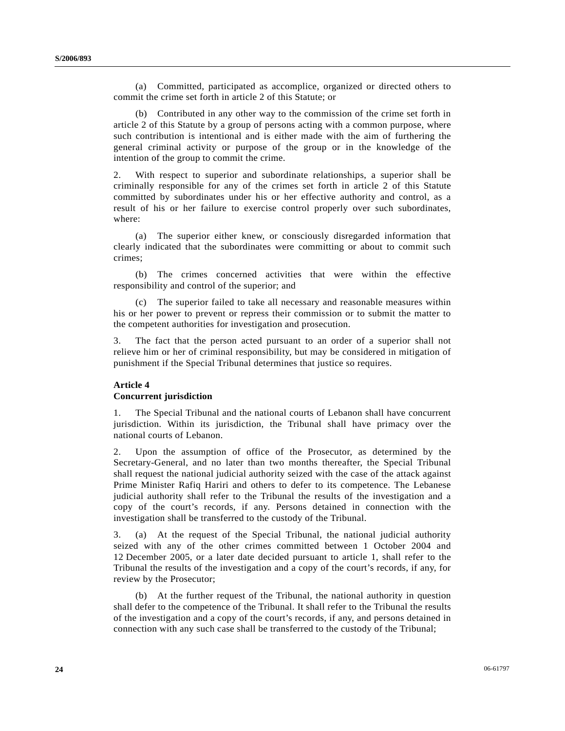(a) Committed, participated as accomplice, organized or directed others to commit the crime set forth in article 2 of this Statute; or

 (b) Contributed in any other way to the commission of the crime set forth in article 2 of this Statute by a group of persons acting with a common purpose, where such contribution is intentional and is either made with the aim of furthering the general criminal activity or purpose of the group or in the knowledge of the intention of the group to commit the crime.

2. With respect to superior and subordinate relationships, a superior shall be criminally responsible for any of the crimes set forth in article 2 of this Statute committed by subordinates under his or her effective authority and control, as a result of his or her failure to exercise control properly over such subordinates, where:

 (a) The superior either knew, or consciously disregarded information that clearly indicated that the subordinates were committing or about to commit such crimes;

 (b) The crimes concerned activities that were within the effective responsibility and control of the superior; and

 (c) The superior failed to take all necessary and reasonable measures within his or her power to prevent or repress their commission or to submit the matter to the competent authorities for investigation and prosecution.

3. The fact that the person acted pursuant to an order of a superior shall not relieve him or her of criminal responsibility, but may be considered in mitigation of punishment if the Special Tribunal determines that justice so requires.

#### **Article 4**

#### **Concurrent jurisdiction**

1. The Special Tribunal and the national courts of Lebanon shall have concurrent jurisdiction. Within its jurisdiction, the Tribunal shall have primacy over the national courts of Lebanon.

2. Upon the assumption of office of the Prosecutor, as determined by the Secretary-General, and no later than two months thereafter, the Special Tribunal shall request the national judicial authority seized with the case of the attack against Prime Minister Rafiq Hariri and others to defer to its competence. The Lebanese judicial authority shall refer to the Tribunal the results of the investigation and a copy of the court's records, if any. Persons detained in connection with the investigation shall be transferred to the custody of the Tribunal.

3. (a) At the request of the Special Tribunal, the national judicial authority seized with any of the other crimes committed between 1 October 2004 and 12 December 2005, or a later date decided pursuant to article 1, shall refer to the Tribunal the results of the investigation and a copy of the court's records, if any, for review by the Prosecutor;

 (b) At the further request of the Tribunal, the national authority in question shall defer to the competence of the Tribunal. It shall refer to the Tribunal the results of the investigation and a copy of the court's records, if any, and persons detained in connection with any such case shall be transferred to the custody of the Tribunal;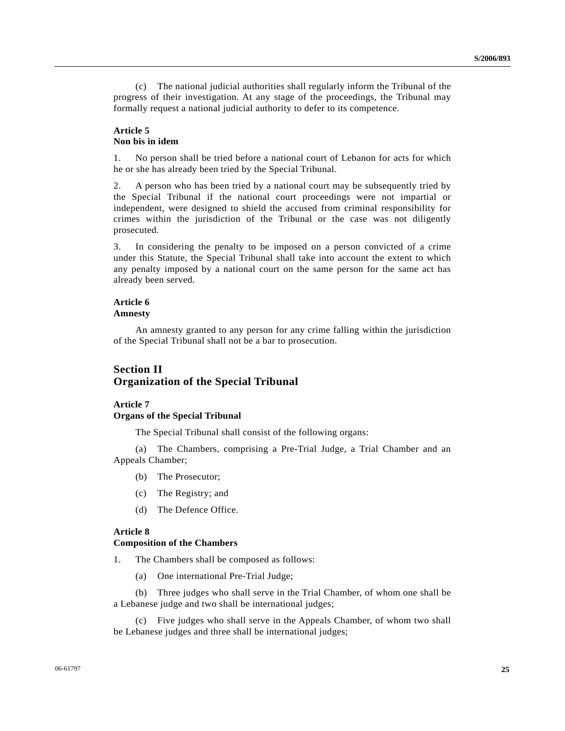(c) The national judicial authorities shall regularly inform the Tribunal of the progress of their investigation. At any stage of the proceedings, the Tribunal may formally request a national judicial authority to defer to its competence.

#### **Article 5 Non bis in idem**

1. No person shall be tried before a national court of Lebanon for acts for which he or she has already been tried by the Special Tribunal.

2. A person who has been tried by a national court may be subsequently tried by the Special Tribunal if the national court proceedings were not impartial or independent, were designed to shield the accused from criminal responsibility for crimes within the jurisdiction of the Tribunal or the case was not diligently prosecuted.

3. In considering the penalty to be imposed on a person convicted of a crime under this Statute, the Special Tribunal shall take into account the extent to which any penalty imposed by a national court on the same person for the same act has already been served.

#### **Article 6 Amnesty**

 An amnesty granted to any person for any crime falling within the jurisdiction of the Special Tribunal shall not be a bar to prosecution.

## **Section II Organization of the Special Tribunal**

#### **Article 7**

#### **Organs of the Special Tribunal**

The Special Tribunal shall consist of the following organs:

 (a) The Chambers, comprising a Pre-Trial Judge, a Trial Chamber and an Appeals Chamber;

- (b) The Prosecutor;
- (c) The Registry; and
- (d) The Defence Office.

#### **Article 8**

#### **Composition of the Chambers**

1. The Chambers shall be composed as follows:

(a) One international Pre-Trial Judge;

 (b) Three judges who shall serve in the Trial Chamber, of whom one shall be a Lebanese judge and two shall be international judges;

 (c) Five judges who shall serve in the Appeals Chamber, of whom two shall be Lebanese judges and three shall be international judges;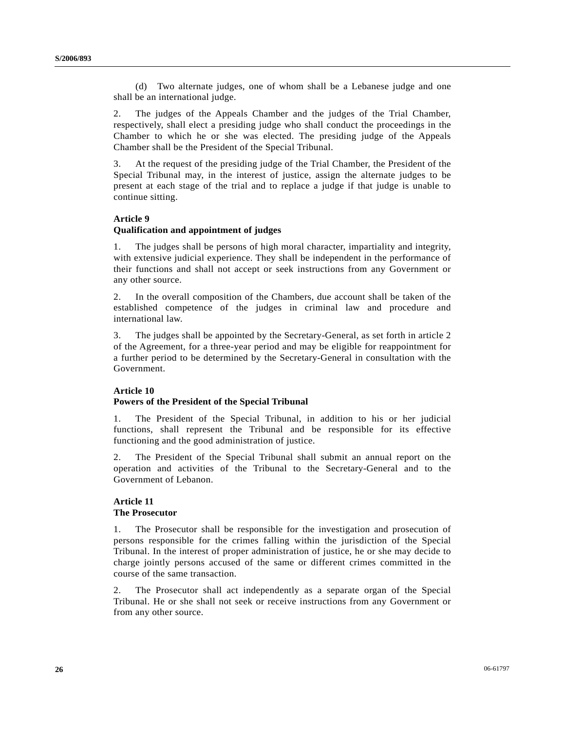(d) Two alternate judges, one of whom shall be a Lebanese judge and one shall be an international judge.

2. The judges of the Appeals Chamber and the judges of the Trial Chamber, respectively, shall elect a presiding judge who shall conduct the proceedings in the Chamber to which he or she was elected. The presiding judge of the Appeals Chamber shall be the President of the Special Tribunal.

3. At the request of the presiding judge of the Trial Chamber, the President of the Special Tribunal may, in the interest of justice, assign the alternate judges to be present at each stage of the trial and to replace a judge if that judge is unable to continue sitting.

#### **Article 9**

#### **Qualification and appointment of judges**

1. The judges shall be persons of high moral character, impartiality and integrity, with extensive judicial experience. They shall be independent in the performance of their functions and shall not accept or seek instructions from any Government or any other source.

2. In the overall composition of the Chambers, due account shall be taken of the established competence of the judges in criminal law and procedure and international law.

3. The judges shall be appointed by the Secretary-General, as set forth in article 2 of the Agreement, for a three-year period and may be eligible for reappointment for a further period to be determined by the Secretary-General in consultation with the Government.

#### **Article 10**

#### **Powers of the President of the Special Tribunal**

1. The President of the Special Tribunal, in addition to his or her judicial functions, shall represent the Tribunal and be responsible for its effective functioning and the good administration of justice.

2. The President of the Special Tribunal shall submit an annual report on the operation and activities of the Tribunal to the Secretary-General and to the Government of Lebanon.

#### **Article 11 The Prosecutor**

1. The Prosecutor shall be responsible for the investigation and prosecution of persons responsible for the crimes falling within the jurisdiction of the Special Tribunal. In the interest of proper administration of justice, he or she may decide to charge jointly persons accused of the same or different crimes committed in the course of the same transaction.

2. The Prosecutor shall act independently as a separate organ of the Special Tribunal. He or she shall not seek or receive instructions from any Government or from any other source.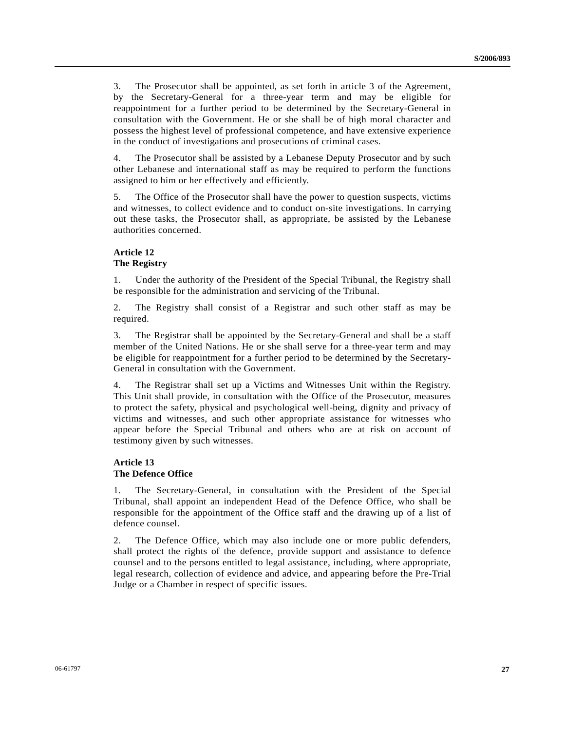3. The Prosecutor shall be appointed, as set forth in article 3 of the Agreement, by the Secretary-General for a three-year term and may be eligible for reappointment for a further period to be determined by the Secretary-General in consultation with the Government. He or she shall be of high moral character and possess the highest level of professional competence, and have extensive experience in the conduct of investigations and prosecutions of criminal cases.

4. The Prosecutor shall be assisted by a Lebanese Deputy Prosecutor and by such other Lebanese and international staff as may be required to perform the functions assigned to him or her effectively and efficiently.

5. The Office of the Prosecutor shall have the power to question suspects, victims and witnesses, to collect evidence and to conduct on-site investigations. In carrying out these tasks, the Prosecutor shall, as appropriate, be assisted by the Lebanese authorities concerned.

#### **Article 12 The Registry**

1. Under the authority of the President of the Special Tribunal, the Registry shall be responsible for the administration and servicing of the Tribunal.

2. The Registry shall consist of a Registrar and such other staff as may be required.

3. The Registrar shall be appointed by the Secretary-General and shall be a staff member of the United Nations. He or she shall serve for a three-year term and may be eligible for reappointment for a further period to be determined by the Secretary-General in consultation with the Government.

4. The Registrar shall set up a Victims and Witnesses Unit within the Registry. This Unit shall provide, in consultation with the Office of the Prosecutor, measures to protect the safety, physical and psychological well-being, dignity and privacy of victims and witnesses, and such other appropriate assistance for witnesses who appear before the Special Tribunal and others who are at risk on account of testimony given by such witnesses.

#### **Article 13 The Defence Office**

1. The Secretary-General, in consultation with the President of the Special Tribunal, shall appoint an independent Head of the Defence Office, who shall be responsible for the appointment of the Office staff and the drawing up of a list of defence counsel.

2. The Defence Office, which may also include one or more public defenders, shall protect the rights of the defence, provide support and assistance to defence counsel and to the persons entitled to legal assistance, including, where appropriate, legal research, collection of evidence and advice, and appearing before the Pre-Trial Judge or a Chamber in respect of specific issues.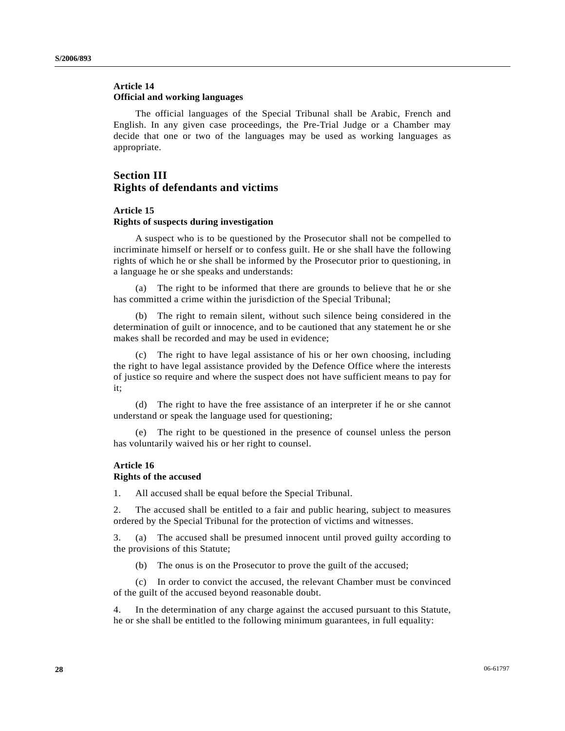#### **Article 14 Official and working languages**

 The official languages of the Special Tribunal shall be Arabic, French and English. In any given case proceedings, the Pre-Trial Judge or a Chamber may decide that one or two of the languages may be used as working languages as appropriate.

## **Section III Rights of defendants and victims**

#### **Article 15**

#### **Rights of suspects during investigation**

 A suspect who is to be questioned by the Prosecutor shall not be compelled to incriminate himself or herself or to confess guilt. He or she shall have the following rights of which he or she shall be informed by the Prosecutor prior to questioning, in a language he or she speaks and understands:

 (a) The right to be informed that there are grounds to believe that he or she has committed a crime within the jurisdiction of the Special Tribunal;

 (b) The right to remain silent, without such silence being considered in the determination of guilt or innocence, and to be cautioned that any statement he or she makes shall be recorded and may be used in evidence;

 (c) The right to have legal assistance of his or her own choosing, including the right to have legal assistance provided by the Defence Office where the interests of justice so require and where the suspect does not have sufficient means to pay for it;

 (d) The right to have the free assistance of an interpreter if he or she cannot understand or speak the language used for questioning;

 (e) The right to be questioned in the presence of counsel unless the person has voluntarily waived his or her right to counsel.

#### **Article 16 Rights of the accused**

1. All accused shall be equal before the Special Tribunal.

2. The accused shall be entitled to a fair and public hearing, subject to measures ordered by the Special Tribunal for the protection of victims and witnesses.

3. (a) The accused shall be presumed innocent until proved guilty according to the provisions of this Statute;

(b) The onus is on the Prosecutor to prove the guilt of the accused;

 (c) In order to convict the accused, the relevant Chamber must be convinced of the guilt of the accused beyond reasonable doubt.

4. In the determination of any charge against the accused pursuant to this Statute, he or she shall be entitled to the following minimum guarantees, in full equality: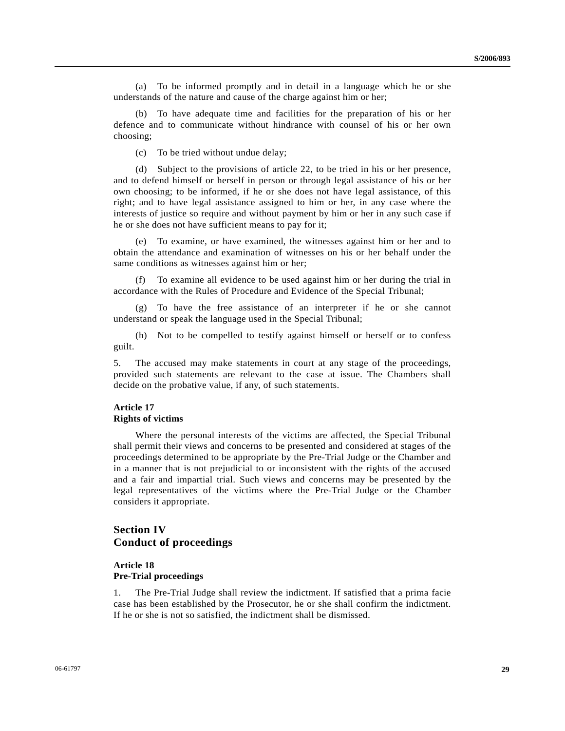(a) To be informed promptly and in detail in a language which he or she understands of the nature and cause of the charge against him or her;

 (b) To have adequate time and facilities for the preparation of his or her defence and to communicate without hindrance with counsel of his or her own choosing;

(c) To be tried without undue delay;

 (d) Subject to the provisions of article 22, to be tried in his or her presence, and to defend himself or herself in person or through legal assistance of his or her own choosing; to be informed, if he or she does not have legal assistance, of this right; and to have legal assistance assigned to him or her, in any case where the interests of justice so require and without payment by him or her in any such case if he or she does not have sufficient means to pay for it;

 (e) To examine, or have examined, the witnesses against him or her and to obtain the attendance and examination of witnesses on his or her behalf under the same conditions as witnesses against him or her;

 (f) To examine all evidence to be used against him or her during the trial in accordance with the Rules of Procedure and Evidence of the Special Tribunal;

 (g) To have the free assistance of an interpreter if he or she cannot understand or speak the language used in the Special Tribunal;

 (h) Not to be compelled to testify against himself or herself or to confess guilt.

5. The accused may make statements in court at any stage of the proceedings, provided such statements are relevant to the case at issue. The Chambers shall decide on the probative value, if any, of such statements.

#### **Article 17 Rights of victims**

 Where the personal interests of the victims are affected, the Special Tribunal shall permit their views and concerns to be presented and considered at stages of the proceedings determined to be appropriate by the Pre-Trial Judge or the Chamber and in a manner that is not prejudicial to or inconsistent with the rights of the accused and a fair and impartial trial. Such views and concerns may be presented by the legal representatives of the victims where the Pre-Trial Judge or the Chamber considers it appropriate.

## **Section IV Conduct of proceedings**

#### **Article 18 Pre-Trial proceedings**

1. The Pre-Trial Judge shall review the indictment. If satisfied that a prima facie case has been established by the Prosecutor, he or she shall confirm the indictment. If he or she is not so satisfied, the indictment shall be dismissed.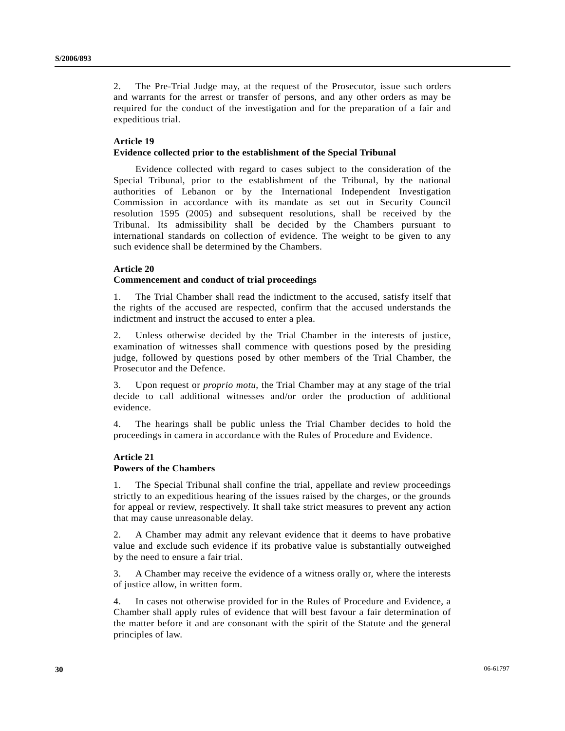2. The Pre-Trial Judge may, at the request of the Prosecutor, issue such orders and warrants for the arrest or transfer of persons, and any other orders as may be required for the conduct of the investigation and for the preparation of a fair and expeditious trial.

#### **Article 19**

#### **Evidence collected prior to the establishment of the Special Tribunal**

 Evidence collected with regard to cases subject to the consideration of the Special Tribunal, prior to the establishment of the Tribunal, by the national authorities of Lebanon or by the International Independent Investigation Commission in accordance with its mandate as set out in Security Council resolution 1595 (2005) and subsequent resolutions, shall be received by the Tribunal. Its admissibility shall be decided by the Chambers pursuant to international standards on collection of evidence. The weight to be given to any such evidence shall be determined by the Chambers.

#### **Article 20**

#### **Commencement and conduct of trial proceedings**

1. The Trial Chamber shall read the indictment to the accused, satisfy itself that the rights of the accused are respected, confirm that the accused understands the indictment and instruct the accused to enter a plea.

2. Unless otherwise decided by the Trial Chamber in the interests of justice, examination of witnesses shall commence with questions posed by the presiding judge, followed by questions posed by other members of the Trial Chamber, the Prosecutor and the Defence.

3. Upon request or *proprio motu*, the Trial Chamber may at any stage of the trial decide to call additional witnesses and/or order the production of additional evidence.

4. The hearings shall be public unless the Trial Chamber decides to hold the proceedings in camera in accordance with the Rules of Procedure and Evidence.

#### **Article 21 Powers of the Chambers**

1. The Special Tribunal shall confine the trial, appellate and review proceedings strictly to an expeditious hearing of the issues raised by the charges, or the grounds for appeal or review, respectively. It shall take strict measures to prevent any action that may cause unreasonable delay.

2. A Chamber may admit any relevant evidence that it deems to have probative value and exclude such evidence if its probative value is substantially outweighed by the need to ensure a fair trial.

3. A Chamber may receive the evidence of a witness orally or, where the interests of justice allow, in written form.

4. In cases not otherwise provided for in the Rules of Procedure and Evidence, a Chamber shall apply rules of evidence that will best favour a fair determination of the matter before it and are consonant with the spirit of the Statute and the general principles of law.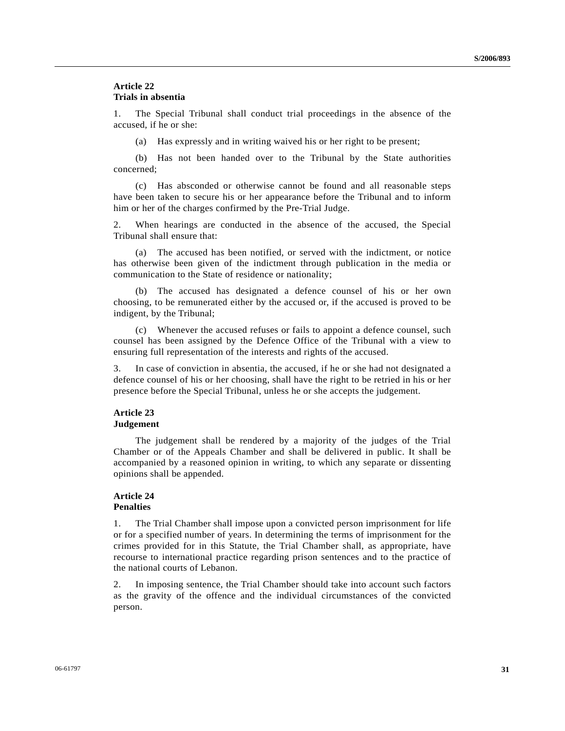#### **Article 22 Trials in absentia**

1. The Special Tribunal shall conduct trial proceedings in the absence of the accused, if he or she:

(a) Has expressly and in writing waived his or her right to be present;

 (b) Has not been handed over to the Tribunal by the State authorities concerned;

 (c) Has absconded or otherwise cannot be found and all reasonable steps have been taken to secure his or her appearance before the Tribunal and to inform him or her of the charges confirmed by the Pre-Trial Judge.

2. When hearings are conducted in the absence of the accused, the Special Tribunal shall ensure that:

 (a) The accused has been notified, or served with the indictment, or notice has otherwise been given of the indictment through publication in the media or communication to the State of residence or nationality;

 (b) The accused has designated a defence counsel of his or her own choosing, to be remunerated either by the accused or, if the accused is proved to be indigent, by the Tribunal;

 (c) Whenever the accused refuses or fails to appoint a defence counsel, such counsel has been assigned by the Defence Office of the Tribunal with a view to ensuring full representation of the interests and rights of the accused.

3. In case of conviction in absentia, the accused, if he or she had not designated a defence counsel of his or her choosing, shall have the right to be retried in his or her presence before the Special Tribunal, unless he or she accepts the judgement.

#### **Article 23 Judgement**

 The judgement shall be rendered by a majority of the judges of the Trial Chamber or of the Appeals Chamber and shall be delivered in public. It shall be accompanied by a reasoned opinion in writing, to which any separate or dissenting opinions shall be appended.

#### **Article 24 Penalties**

1. The Trial Chamber shall impose upon a convicted person imprisonment for life or for a specified number of years. In determining the terms of imprisonment for the crimes provided for in this Statute, the Trial Chamber shall, as appropriate, have recourse to international practice regarding prison sentences and to the practice of the national courts of Lebanon.

2. In imposing sentence, the Trial Chamber should take into account such factors as the gravity of the offence and the individual circumstances of the convicted person.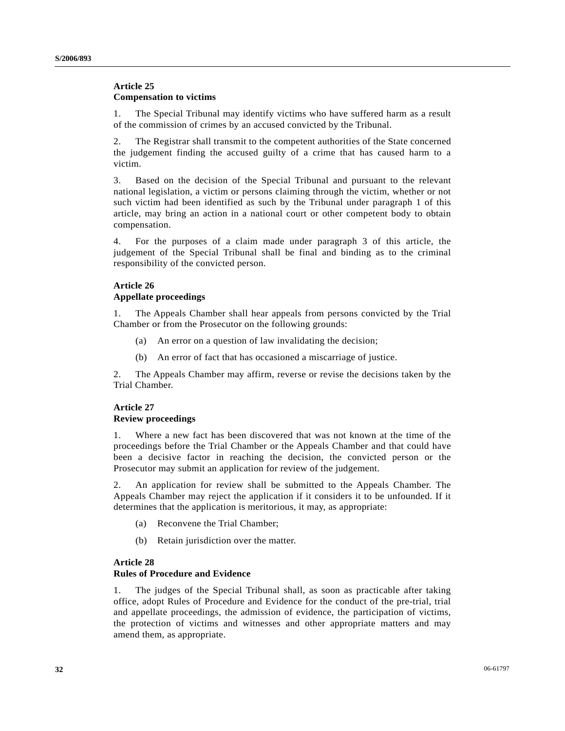#### **Article 25 Compensation to victims**

1. The Special Tribunal may identify victims who have suffered harm as a result of the commission of crimes by an accused convicted by the Tribunal.

2. The Registrar shall transmit to the competent authorities of the State concerned the judgement finding the accused guilty of a crime that has caused harm to a victim.

3. Based on the decision of the Special Tribunal and pursuant to the relevant national legislation, a victim or persons claiming through the victim, whether or not such victim had been identified as such by the Tribunal under paragraph 1 of this article, may bring an action in a national court or other competent body to obtain compensation.

4. For the purposes of a claim made under paragraph 3 of this article, the judgement of the Special Tribunal shall be final and binding as to the criminal responsibility of the convicted person.

#### **Article 26 Appellate proceedings**

1. The Appeals Chamber shall hear appeals from persons convicted by the Trial Chamber or from the Prosecutor on the following grounds:

- (a) An error on a question of law invalidating the decision;
- (b) An error of fact that has occasioned a miscarriage of justice.

2. The Appeals Chamber may affirm, reverse or revise the decisions taken by the Trial Chamber.

#### **Article 27 Review proceedings**

1. Where a new fact has been discovered that was not known at the time of the proceedings before the Trial Chamber or the Appeals Chamber and that could have been a decisive factor in reaching the decision, the convicted person or the Prosecutor may submit an application for review of the judgement.

2. An application for review shall be submitted to the Appeals Chamber. The Appeals Chamber may reject the application if it considers it to be unfounded. If it determines that the application is meritorious, it may, as appropriate:

- (a) Reconvene the Trial Chamber;
- (b) Retain jurisdiction over the matter.

#### **Article 28**

### **Rules of Procedure and Evidence**

1. The judges of the Special Tribunal shall, as soon as practicable after taking office, adopt Rules of Procedure and Evidence for the conduct of the pre-trial, trial and appellate proceedings, the admission of evidence, the participation of victims, the protection of victims and witnesses and other appropriate matters and may amend them, as appropriate.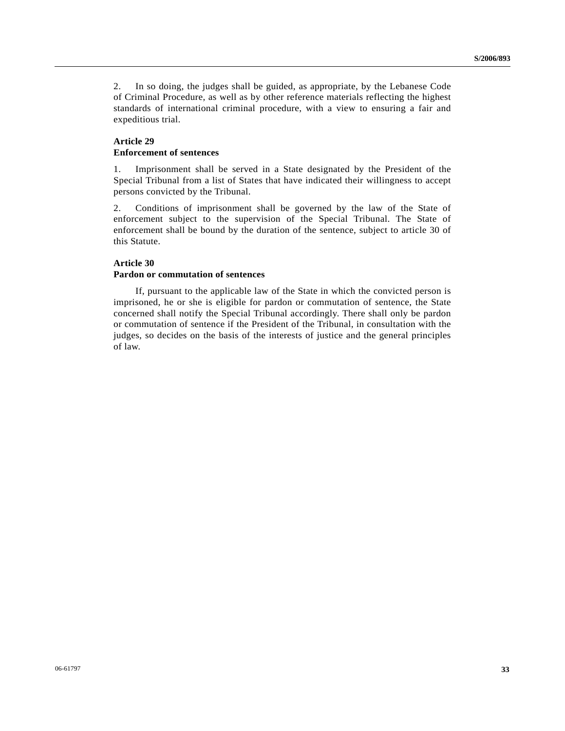2. In so doing, the judges shall be guided, as appropriate, by the Lebanese Code of Criminal Procedure, as well as by other reference materials reflecting the highest standards of international criminal procedure, with a view to ensuring a fair and expeditious trial.

#### **Article 29 Enforcement of sentences**

1. Imprisonment shall be served in a State designated by the President of the Special Tribunal from a list of States that have indicated their willingness to accept persons convicted by the Tribunal.

2. Conditions of imprisonment shall be governed by the law of the State of enforcement subject to the supervision of the Special Tribunal. The State of enforcement shall be bound by the duration of the sentence, subject to article 30 of this Statute.

### **Article 30**

#### **Pardon or commutation of sentences**

 If, pursuant to the applicable law of the State in which the convicted person is imprisoned, he or she is eligible for pardon or commutation of sentence, the State concerned shall notify the Special Tribunal accordingly. There shall only be pardon or commutation of sentence if the President of the Tribunal, in consultation with the judges, so decides on the basis of the interests of justice and the general principles of law.